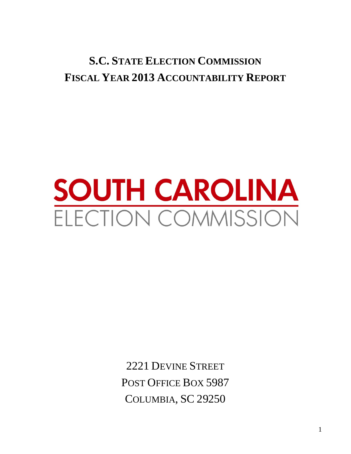# **S.C. STATE ELECTION COMMISSION FISCAL YEAR 2013 ACCOUNTABILITY REPORT**

# **SOUTH CAROLINA** ELECTION COMMISSION

2221 DEVINE STREET POST OFFICE BOX 5987 COLUMBIA, SC 29250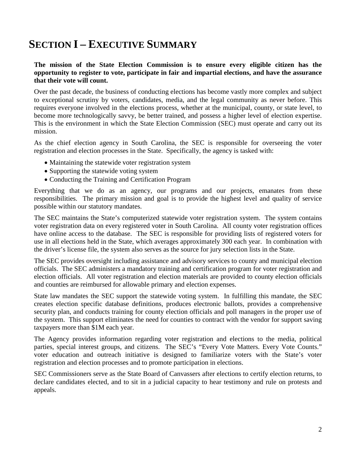# **SECTION I – EXECUTIVE SUMMARY**

#### **The mission of the State Election Commission is to ensure every eligible citizen has the opportunity to register to vote, participate in fair and impartial elections, and have the assurance that their vote will count.**

Over the past decade, the business of conducting elections has become vastly more complex and subject to exceptional scrutiny by voters, candidates, media, and the legal community as never before. This requires everyone involved in the elections process, whether at the municipal, county, or state level, to become more technologically savvy, be better trained, and possess a higher level of election expertise. This is the environment in which the State Election Commission (SEC) must operate and carry out its mission.

As the chief election agency in South Carolina, the SEC is responsible for overseeing the voter registration and election processes in the State. Specifically, the agency is tasked with:

- Maintaining the statewide voter registration system
- Supporting the statewide voting system
- Conducting the Training and Certification Program

Everything that we do as an agency, our programs and our projects, emanates from these responsibilities. The primary mission and goal is to provide the highest level and quality of service possible within our statutory mandates.

The SEC maintains the State's computerized statewide voter registration system. The system contains voter registration data on every registered voter in South Carolina. All county voter registration offices have online access to the database. The SEC is responsible for providing lists of registered voters for use in all elections held in the State, which averages approximately 300 each year. In combination with the driver's license file, the system also serves as the source for jury selection lists in the State.

The SEC provides oversight including assistance and advisory services to county and municipal election officials. The SEC administers a mandatory training and certification program for voter registration and election officials. All voter registration and election materials are provided to county election officials and counties are reimbursed for allowable primary and election expenses.

State law mandates the SEC support the statewide voting system. In fulfilling this mandate, the SEC creates election specific database definitions, produces electronic ballots, provides a comprehensive security plan, and conducts training for county election officials and poll managers in the proper use of the system. This support eliminates the need for counties to contract with the vendor for support saving taxpayers more than \$1M each year.

The Agency provides information regarding voter registration and elections to the media, political parties, special interest groups, and citizens. The SEC's "Every Vote Matters. Every Vote Counts." voter education and outreach initiative is designed to familiarize voters with the State's voter registration and election processes and to promote participation in elections.

SEC Commissioners serve as the State Board of Canvassers after elections to certify election returns, to declare candidates elected, and to sit in a judicial capacity to hear testimony and rule on protests and appeals.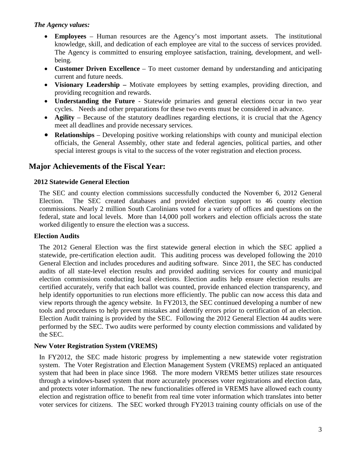#### *The Agency values:*

- **Employees** Human resources are the Agency's most important assets. The institutional knowledge, skill, and dedication of each employee are vital to the success of services provided. The Agency is committed to ensuring employee satisfaction, training, development, and wellbeing.
- **Customer Driven Excellence** To meet customer demand by understanding and anticipating current and future needs.
- **Visionary Leadership –** Motivate employees by setting examples, providing direction, and providing recognition and rewards.
- **Understanding the Future** Statewide primaries and general elections occur in two year cycles. Needs and other preparations for these two events must be considered in advance.
- **Agility** Because of the statutory deadlines regarding elections, it is crucial that the Agency meet all deadlines and provide necessary services.
- **Relationships** Developing positive working relationships with county and municipal election officials, the General Assembly, other state and federal agencies, political parties, and other special interest groups is vital to the success of the voter registration and election process.

# **Major Achievements of the Fiscal Year:**

#### **2012 Statewide General Election**

The SEC and county election commissions successfully conducted the November 6, 2012 General Election. The SEC created databases and provided election support to 46 county election commissions. Nearly 2 million South Carolinians voted for a variety of offices and questions on the federal, state and local levels. More than 14,000 poll workers and election officials across the state worked diligently to ensure the election was a success.

#### **Election Audits**

The 2012 General Election was the first statewide general election in which the SEC applied a statewide, pre-certification election audit. This auditing process was developed following the 2010 General Election and includes procedures and auditing software. Since 2011, the SEC has conducted audits of all state-level election results and provided auditing services for county and municipal election commissions conducting local elections. Election audits help ensure election results are certified accurately, verify that each ballot was counted, provide enhanced election transparency, and help identify opportunities to run elections more efficiently. The public can now access this data and view reports through the agency website. In FY2013, the SEC continued developing a number of new tools and procedures to help prevent mistakes and identify errors prior to certification of an election. Election Audit training is provided by the SEC. Following the 2012 General Election 44 audits were performed by the SEC. Two audits were performed by county election commissions and validated by the SEC.

#### **New Voter Registration System (VREMS)**

In FY2012, the SEC made historic progress by implementing a new statewide voter registration system. The Voter Registration and Election Management System (VREMS) replaced an antiquated system that had been in place since 1968. The more modern VREMS better utilizes state resources through a windows-based system that more accurately processes voter registrations and election data, and protects voter information. The new functionalities offered in VREMS have allowed each county election and registration office to benefit from real time voter information which translates into better voter services for citizens. The SEC worked through FY2013 training county officials on use of the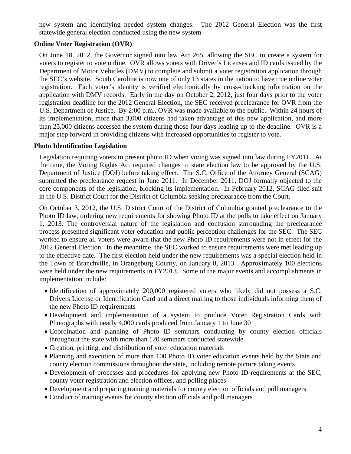new system and identifying needed system changes. The 2012 General Election was the first statewide general election conducted using the new system.

#### **Online Voter Registration (OVR)**

On June 18, 2012, the Governor signed into law Act 265, allowing the SEC to create a system for voters to register to vote online. OVR allows voters with Driver's Licenses and ID cards issued by the Department of Motor Vehicles (DMV) to complete and submit a voter registration application through the SEC's website. South Carolina is now one of only 13 states in the nation to have true online voter registration. Each voter's identity is verified electronically by cross-checking information on the application with DMV records. Early in the day on October 2, 2012, just four days prior to the voter registration deadline for the 2012 General Election, the SEC received preclearance for OVR from the U.S. Department of Justice. By 2:00 p.m., OVR was made available to the public. Within 24 hours of its implementation, more than 3,000 citizens had taken advantage of this new application, and more than 25,000 citizens accessed the system during those four days leading up to the deadline. OVR is a major step forward in providing citizens with increased opportunities to register to vote.

#### **Photo Identification Legislation**

Legislation requiring voters to present photo ID when voting was signed into law during FY2011. At the time, the Voting Rights Act required changes to state election law to be approved by the U.S. Department of Justice (DOJ) before taking effect. The S.C. Office of the Attorney General (SCAG) submitted the preclearance request in June 2011. In December 2011, DOJ formally objected to the core components of the legislation, blocking its implementation. In February 2012, SCAG filed suit in the U.S. District Court for the District of Columbia seeking preclearance from the Court.

On October 3, 2012, the U.S. District Court of the District of Columbia granted preclearance to the Photo ID law, ordering new requirements for showing Photo ID at the polls to take effect on January 1, 2013. The controversial nature of the legislation and confusion surrounding the preclearance process presented significant voter education and public perception challenges for the SEC. The SEC worked to ensure all voters were aware that the new Photo ID requirements were not in effect for the 2012 General Election. In the meantime, the SEC worked to ensure requirements were met leading up to the effective date. The first election held under the new requirements was a special election held in the Town of Branchville, in Orangeburg County, on January 8, 2013. Approximately 100 elections were held under the new requirements in FY2013. Some of the major events and accomplishments in implementation include:

- Identification of approximately 200,000 registered voters who likely did not possess a S.C. Drivers License or Identification Card and a direct mailing to those individuals informing them of the new Photo ID requirements
- Development and implementation of a system to produce Voter Registration Cards with Photographs with nearly 4,000 cards produced from January 1 to June 30
- Coordination and planning of Photo ID seminars conducting by county election officials throughout the state with more than 120 seminars conducted statewide.
- Creation, printing, and distribution of voter education materials
- Planning and execution of more than 100 Photo ID voter education events held by the State and county election commissions throughout the state, including remote picture taking events
- Development of processes and procedures for applying new Photo ID requirements at the SEC, county voter registration and election offices, and polling places
- Development and preparing training materials for county election officials and poll managers
- Conduct of training events for county election officials and poll managers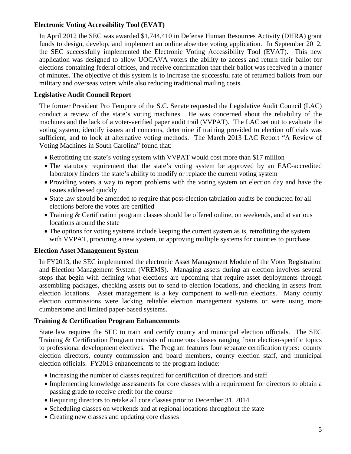#### **Electronic Voting Accessibility Tool (EVAT)**

In April 2012 the SEC was awarded \$1,744,410 in Defense Human Resources Activity (DHRA) grant funds to design, develop, and implement an online absentee voting application. In September 2012, the SEC successfully implemented the Electronic Voting Accessibility Tool (EVAT). This new application was designed to allow UOCAVA voters the ability to access and return their ballot for elections containing federal offices, and receive confirmation that their ballot was received in a matter of minutes. The objective of this system is to increase the successful rate of returned ballots from our military and overseas voters while also reducing traditional mailing costs.

#### **Legislative Audit Council Report**

The former President Pro Tempore of the S.C. Senate requested the Legislative Audit Council (LAC) conduct a review of the state's voting machines. He was concerned about the reliability of the machines and the lack of a voter-verified paper audit trail (VVPAT). The LAC set out to evaluate the voting system, identify issues and concerns, determine if training provided to election officials was sufficient, and to look at alternative voting methods. The March 2013 LAC Report "A Review of Voting Machines in South Carolina" found that:

- Retrofitting the state's voting system with VVPAT would cost more than \$17 million
- The statutory requirement that the state's voting system be approved by an EAC-accredited laboratory hinders the state's ability to modify or replace the current voting system
- Providing voters a way to report problems with the voting system on election day and have the issues addressed quickly
- State law should be amended to require that post-election tabulation audits be conducted for all elections before the votes are certified
- Training & Certification program classes should be offered online, on weekends, and at various locations around the state
- The options for voting systems include keeping the current system as is, retrofitting the system with VVPAT, procuring a new system, or approving multiple systems for counties to purchase

#### **Election Asset Management System**

In FY2013, the SEC implemented the electronic Asset Management Module of the Voter Registration and Election Management System (VREMS). Managing assets during an election involves several steps that begin with defining what elections are upcoming that require asset deployments through assembling packages, checking assets out to send to election locations, and checking in assets from election locations. Asset management is a key component to well-run elections. Many county election commissions were lacking reliable election management systems or were using more cumbersome and limited paper-based systems.

#### **Training & Certification Program Enhancements**

State law requires the SEC to train and certify county and municipal election officials. The SEC Training & Certification Program consists of numerous classes ranging from election-specific topics to professional development electives. The Program features four separate certification types: county election directors, county commission and board members, county election staff, and municipal election officials. FY2013 enhancements to the program include:

- Increasing the number of classes required for certification of directors and staff
- Implementing knowledge assessments for core classes with a requirement for directors to obtain a passing grade to receive credit for the course
- Requiring directors to retake all core classes prior to December 31, 2014
- Scheduling classes on weekends and at regional locations throughout the state
- Creating new classes and updating core classes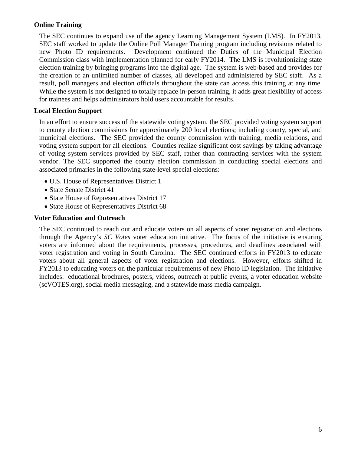#### **Online Training**

The SEC continues to expand use of the agency Learning Management System (LMS). In FY2013, SEC staff worked to update the Online Poll Manager Training program including revisions related to new Photo ID requirements. Development continued the Duties of the Municipal Election Commission class with implementation planned for early FY2014. The LMS is revolutionizing state election training by bringing programs into the digital age. The system is web-based and provides for the creation of an unlimited number of classes, all developed and administered by SEC staff. As a result, poll managers and election officials throughout the state can access this training at any time. While the system is not designed to totally replace in-person training, it adds great flexibility of access for trainees and helps administrators hold users accountable for results.

#### **Local Election Support**

In an effort to ensure success of the statewide voting system, the SEC provided voting system support to county election commissions for approximately 200 local elections; including county, special, and municipal elections. The SEC provided the county commission with training, media relations, and voting system support for all elections. Counties realize significant cost savings by taking advantage of voting system services provided by SEC staff, rather than contracting services with the system vendor. The SEC supported the county election commission in conducting special elections and associated primaries in the following state-level special elections:

- U.S. House of Representatives District 1
- State Senate District 41
- State House of Representatives District 17
- State House of Representatives District 68

#### **Voter Education and Outreach**

The SEC continued to reach out and educate voters on all aspects of voter registration and elections through the Agency's *SC Votes* voter education initiative. The focus of the initiative is ensuring voters are informed about the requirements, processes, procedures, and deadlines associated with voter registration and voting in South Carolina. The SEC continued efforts in FY2013 to educate voters about all general aspects of voter registration and elections. However, efforts shifted in FY2013 to educating voters on the particular requirements of new Photo ID legislation. The initiative includes: educational brochures, posters, videos, outreach at public events, a voter education website (scVOTES.org), social media messaging, and a statewide mass media campaign.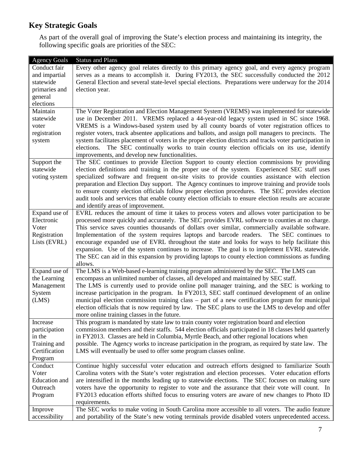# **Key Strategic Goals**

As part of the overall goal of improving the State's election process and maintaining its integrity, the following specific goals are priorities of the SEC:

| <b>Agency Goals</b>  | <b>Status and Plans</b>                                                                                                                                                                              |
|----------------------|------------------------------------------------------------------------------------------------------------------------------------------------------------------------------------------------------|
| Conduct fair         | Every other agency goal relates directly to this primary agency goal, and every agency program                                                                                                       |
| and impartial        | serves as a means to accomplish it. During FY2013, the SEC successfully conducted the 2012                                                                                                           |
| statewide            | General Election and several state-level special elections. Preparations were underway for the 2014                                                                                                  |
| primaries and        | election year.                                                                                                                                                                                       |
| general              |                                                                                                                                                                                                      |
| elections            |                                                                                                                                                                                                      |
| Maintain             | The Voter Registration and Election Management System (VREMS) was implemented for statewide                                                                                                          |
| statewide            | use in December 2011. VREMS replaced a 44-year-old legacy system used in SC since 1968.                                                                                                              |
| voter                | VREMS is a Windows-based system used by all county boards of voter registration offices to                                                                                                           |
| registration         | register voters, track absentee applications and ballots, and assign poll managers to precincts. The                                                                                                 |
| system               | system facilitates placement of voters in the proper election districts and tracks voter participation in                                                                                            |
|                      | The SEC continually works to train county election officials on its use, identify<br>elections.                                                                                                      |
|                      | improvements, and develop new functionalities.                                                                                                                                                       |
| Support the          | The SEC continues to provide Election Support to county election commissions by providing                                                                                                            |
| statewide            | election definitions and training in the proper use of the system. Experienced SEC staff uses                                                                                                        |
| voting system        | specialized software and frequent on-site visits to provide counties assistance with election                                                                                                        |
|                      | preparation and Election Day support. The Agency continues to improve training and provide tools                                                                                                     |
|                      | to ensure county election officials follow proper election procedures. The SEC provides election                                                                                                     |
|                      | audit tools and services that enable county election officials to ensure election results are accurate                                                                                               |
|                      | and identify areas of improvement.                                                                                                                                                                   |
| Expand use of        | EVRL reduces the amount of time it takes to process voters and allows voter participation to be                                                                                                      |
| Electronic           | processed more quickly and accurately. The SEC provides EVRL software to counties at no charge.                                                                                                      |
| Voter                | This service saves counties thousands of dollars over similar, commercially available software.                                                                                                      |
| Registration         | Implementation of the system requires laptops and barcode readers. The SEC continues to                                                                                                              |
| Lists (EVRL)         | encourage expanded use of EVRL throughout the state and looks for ways to help facilitate this                                                                                                       |
|                      | expansion. Use of the system continues to increase. The goal is to implement EVRL statewide.                                                                                                         |
|                      | The SEC can aid in this expansion by providing laptops to county election commissions as funding                                                                                                     |
|                      | allows.                                                                                                                                                                                              |
| Expand use of        | The LMS is a Web-based e-learning training program administered by the SEC. The LMS can                                                                                                              |
| the Learning         | encompass an unlimited number of classes, all developed and maintained by SEC staff.                                                                                                                 |
| Management           | The LMS is currently used to provide online poll manager training, and the SEC is working to                                                                                                         |
| System               | increase participation in the program. In FY2013, SEC staff continued development of an online                                                                                                       |
| (LMS)                | municipal election commission training class – part of a new certification program for municipal                                                                                                     |
|                      | election officials that is now required by law. The SEC plans to use the LMS to develop and offer                                                                                                    |
|                      | more online training classes in the future.                                                                                                                                                          |
| Increase             | This program is mandated by state law to train county voter registration board and election                                                                                                          |
| participation        | commission members and their staffs. 544 election officials participated in 18 classes held quarterly                                                                                                |
| in the               | in FY2013. Classes are held in Columbia, Myrtle Beach, and other regional locations when                                                                                                             |
| Training and         | possible. The Agency works to increase participation in the program, as required by state law. The<br>LMS will eventually be used to offer some program classes online.                              |
| Certification        |                                                                                                                                                                                                      |
| Program<br>Conduct   |                                                                                                                                                                                                      |
| Voter                | Continue highly successful voter education and outreach efforts designed to familiarize South<br>Carolina voters with the State's voter registration and election processes. Voter education efforts |
| <b>Education</b> and | are intensified in the months leading up to statewide elections. The SEC focuses on making sure                                                                                                      |
| Outreach             | voters have the opportunity to register to vote and the assurance that their vote will count. In                                                                                                     |
| Program              | FY2013 education efforts shifted focus to ensuring voters are aware of new changes to Photo ID                                                                                                       |
|                      | requirements.                                                                                                                                                                                        |
| Improve              | The SEC works to make voting in South Carolina more accessible to all voters. The audio feature                                                                                                      |
| accessibility        | and portability of the State's new voting terminals provide disabled voters unprecedented access.                                                                                                    |
|                      |                                                                                                                                                                                                      |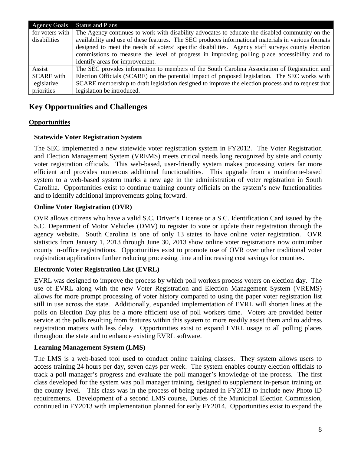| <b>Agency Goals</b> | <b>Status and Plans</b>                                                                             |
|---------------------|-----------------------------------------------------------------------------------------------------|
| for voters with     | The Agency continues to work with disability advocates to educate the disabled community on the     |
| disabilities        | availability and use of these features. The SEC produces informational materials in various formats |
|                     | designed to meet the needs of voters' specific disabilities. Agency staff surveys county election   |
|                     | commissions to measure the level of progress in improving polling place accessibility and to        |
|                     | identify areas for improvement.                                                                     |
| Assist              | The SEC provides information to members of the South Carolina Association of Registration and       |
| <b>SCARE</b> with   | Election Officials (SCARE) on the potential impact of proposed legislation. The SEC works with      |
| legislative         | SCARE membership to draft legislation designed to improve the election process and to request that  |
| priorities          | legislation be introduced.                                                                          |

# **Key Opportunities and Challenges**

#### **Opportunities**

#### **Statewide Voter Registration System**

The SEC implemented a new statewide voter registration system in FY2012. The Voter Registration and Election Management System (VREMS) meets critical needs long recognized by state and county voter registration officials. This web-based, user-friendly system makes processing voters far more efficient and provides numerous additional functionalities. This upgrade from a mainframe-based system to a web-based system marks a new age in the administration of voter registration in South Carolina. Opportunities exist to continue training county officials on the system's new functionalities and to identify additional improvements going forward.

#### **Online Voter Registration (OVR)**

OVR allows citizens who have a valid S.C. Driver's License or a S.C. Identification Card issued by the S.C. Department of Motor Vehicles (DMV) to register to vote or update their registration through the agency website. South Carolina is one of only 13 states to have online voter registration. OVR statistics from January 1, 2013 through June 30, 2013 show online voter registrations now outnumber county in-office registrations. Opportunities exist to promote use of OVR over other traditional voter registration applications further reducing processing time and increasing cost savings for counties.

#### **Electronic Voter Registration List (EVRL)**

EVRL was designed to improve the process by which poll workers process voters on election day. The use of EVRL along with the new Voter Registration and Election Management System (VREMS) allows for more prompt processing of voter history compared to using the paper voter registration list still in use across the state. Additionally, expanded implementation of EVRL will shorten lines at the polls on Election Day plus be a more efficient use of poll workers time. Voters are provided better service at the polls resulting from features within this system to more readily assist them and to address registration matters with less delay. Opportunities exist to expand EVRL usage to all polling places throughout the state and to enhance existing EVRL software.

#### **Learning Management System (LMS)**

The LMS is a web-based tool used to conduct online training classes. They system allows users to access training 24 hours per day, seven days per week. The system enables county election officials to track a poll manager's progress and evaluate the poll manager's knowledge of the process. The first class developed for the system was poll manager training, designed to supplement in-person training on the county level. This class was in the process of being updated in FY2013 to include new Photo ID requirements. Development of a second LMS course, Duties of the Municipal Election Commission, continued in FY2013 with implementation planned for early FY2014. Opportunities exist to expand the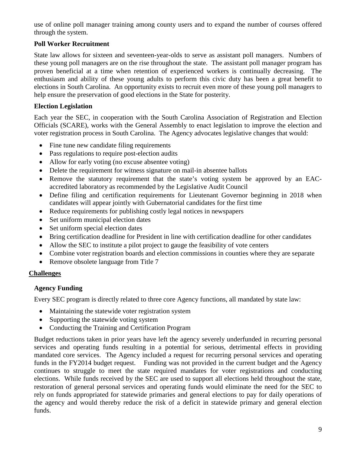use of online poll manager training among county users and to expand the number of courses offered through the system.

#### **Poll Worker Recruitment**

State law allows for sixteen and seventeen-year-olds to serve as assistant poll managers. Numbers of these young poll managers are on the rise throughout the state. The assistant poll manager program has proven beneficial at a time when retention of experienced workers is continually decreasing. The enthusiasm and ability of these young adults to perform this civic duty has been a great benefit to elections in South Carolina. An opportunity exists to recruit even more of these young poll managers to help ensure the preservation of good elections in the State for posterity.

#### **Election Legislation**

Each year the SEC, in cooperation with the South Carolina Association of Registration and Election Officials (SCARE), works with the General Assembly to enact legislation to improve the election and voter registration process in South Carolina. The Agency advocates legislative changes that would:

- Fine tune new candidate filing requirements
- Pass regulations to require post-election audits
- Allow for early voting (no excuse absentee voting)
- Delete the requirement for witness signature on mail-in absentee ballots
- Remove the statutory requirement that the state's voting system be approved by an EACaccredited laboratory as recommended by the Legislative Audit Council
- Define filing and certification requirements for Lieutenant Governor beginning in 2018 when candidates will appear jointly with Gubernatorial candidates for the first time
- Reduce requirements for publishing costly legal notices in newspapers
- Set uniform municipal election dates
- Set uniform special election dates
- Bring certification deadline for President in line with certification deadline for other candidates
- Allow the SEC to institute a pilot project to gauge the feasibility of vote centers
- Combine voter registration boards and election commissions in counties where they are separate
- Remove obsolete language from Title 7

#### **Challenges**

#### **Agency Funding**

Every SEC program is directly related to three core Agency functions, all mandated by state law:

- Maintaining the statewide voter registration system
- Supporting the statewide voting system
- Conducting the Training and Certification Program

Budget reductions taken in prior years have left the agency severely underfunded in recurring personal services and operating funds resulting in a potential for serious, detrimental effects in providing mandated core services. The Agency included a request for recurring personal services and operating funds in the FY2014 budget request. Funding was not provided in the current budget and the Agency continues to struggle to meet the state required mandates for voter registrations and conducting elections. While funds received by the SEC are used to support all elections held throughout the state, restoration of general personal services and operating funds would eliminate the need for the SEC to rely on funds appropriated for statewide primaries and general elections to pay for daily operations of the agency and would thereby reduce the risk of a deficit in statewide primary and general election funds.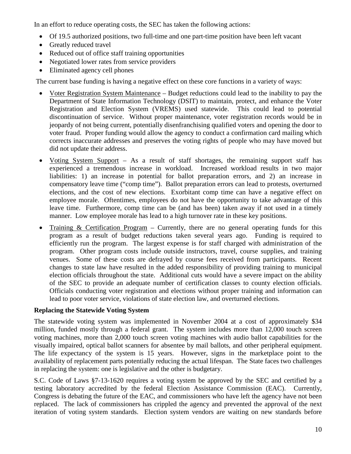In an effort to reduce operating costs, the SEC has taken the following actions:

- Of 19.5 authorized positions, two full-time and one part-time position have been left vacant
- Greatly reduced travel
- Reduced out of office staff training opportunities
- Negotiated lower rates from service providers
- Eliminated agency cell phones

The current base funding is having a negative effect on these core functions in a variety of ways:

- Voter Registration System Maintenance Budget reductions could lead to the inability to pay the Department of State Information Technology (DSIT) to maintain, protect, and enhance the Voter Registration and Election System (VREMS) used statewide. This could lead to potential discontinuation of service. Without proper maintenance, voter registration records would be in jeopardy of not being current, potentially disenfranchising qualified voters and opening the door to voter fraud. Proper funding would allow the agency to conduct a confirmation card mailing which corrects inaccurate addresses and preserves the voting rights of people who may have moved but did not update their address.
- Voting System Support As a result of staff shortages, the remaining support staff has experienced a tremendous increase in workload. Increased workload results in two major liabilities: 1) an increase in potential for ballot preparation errors, and 2) an increase in compensatory leave time ("comp time"). Ballot preparation errors can lead to protests, overturned elections, and the cost of new elections. Exorbitant comp time can have a negative effect on employee morale. Oftentimes, employees do not have the opportunity to take advantage of this leave time. Furthermore, comp time can be (and has been) taken away if not used in a timely manner. Low employee morale has lead to a high turnover rate in these key positions.
- Training & Certification Program Currently, there are no general operating funds for this program as a result of budget reductions taken several years ago. Funding is required to efficiently run the program. The largest expense is for staff charged with administration of the program. Other program costs include outside instructors, travel, course supplies, and training venues. Some of these costs are defrayed by course fees received from participants. Recent changes to state law have resulted in the added responsibility of providing training to municipal election officials throughout the state. Additional cuts would have a severe impact on the ability of the SEC to provide an adequate number of certification classes to county election officials. Officials conducting voter registration and elections without proper training and information can lead to poor voter service, violations of state election law, and overturned elections.

#### **Replacing the Statewide Voting System**

The statewide voting system was implemented in November 2004 at a cost of approximately \$34 million, funded mostly through a federal grant. The system includes more than 12,000 touch screen voting machines, more than 2,000 touch screen voting machines with audio ballot capabilities for the visually impaired, optical ballot scanners for absentee by mail ballots, and other peripheral equipment. The life expectancy of the system is 15 years. However, signs in the marketplace point to the availability of replacement parts potentially reducing the actual lifespan. The State faces two challenges in replacing the system: one is legislative and the other is budgetary.

S.C. Code of Laws §7-13-1620 requires a voting system be approved by the SEC and certified by a testing laboratory accredited by the federal Election Assistance Commission (EAC). Currently, Congress is debating the future of the EAC, and commissioners who have left the agency have not been replaced. The lack of commissioners has crippled the agency and prevented the approval of the next iteration of voting system standards. Election system vendors are waiting on new standards before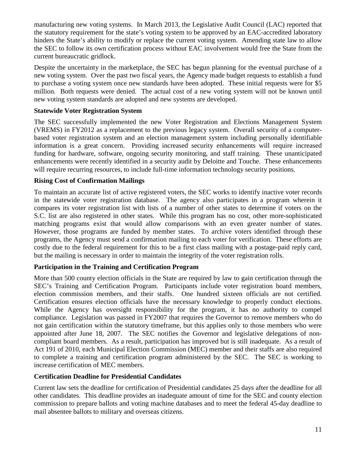manufacturing new voting systems. In March 2013, the Legislative Audit Council (LAC) reported that the statutory requirement for the state's voting system to be approved by an EAC-accredited laboratory hinders the State's ability to modify or replace the current voting system. Amending state law to allow the SEC to follow its own certification process without EAC involvement would free the State from the current bureaucratic gridlock.

Despite the uncertainty in the marketplace, the SEC has begun planning for the eventual purchase of a new voting system. Over the past two fiscal years, the Agency made budget requests to establish a fund to purchase a voting system once new standards have been adopted. These initial requests were for \$5 million. Both requests were denied. The actual cost of a new voting system will not be known until new voting system standards are adopted and new systems are developed.

#### **Statewide Voter Registration System**

The SEC successfully implemented the new Voter Registration and Elections Management System (VREMS) in FY2012 as a replacement to the previous legacy system. Overall security of a computerbased voter registration system and an election management system including personally identifiable information is a great concern. Providing increased security enhancements will require increased funding for hardware, software, ongoing security monitoring, and staff training. These unanticipated enhancements were recently identified in a security audit by Deloitte and Touche. These enhancements will require recurring resources, to include full-time information technology security positions.

#### **Rising Cost of Confirmation Mailings**

To maintain an accurate list of active registered voters, the SEC works to identify inactive voter records in the statewide voter registration database. The agency also participates in a program wherein it compares its voter registration list with lists of a number of other states to determine if voters on the S.C. list are also registered in other states. While this program has no cost, other more-sophisticated matching programs exist that would allow comparisons with an even greater number of states. However, those programs are funded by member states. To archive voters identified through these programs, the Agency must send a confirmation mailing to each voter for verification. These efforts are costly due to the federal requirement for this to be a first class mailing with a postage-paid reply card, but the mailing is necessary in order to maintain the integrity of the voter registration rolls.

#### **Participation in the Training and Certification Program**

More than 500 county election officials in the State are required by law to gain certification through the SEC's Training and Certification Program. Participants include voter registration board members, election commission members, and their staffs. One hundred sixteen officials are not certified. Certification ensures election officials have the necessary knowledge to properly conduct elections. While the Agency has oversight responsibility for the program, it has no authority to compel compliance. Legislation was passed in FY2007 that requires the Governor to remove members who do not gain certification within the statutory timeframe, but this applies only to those members who were appointed after June 18, 2007. The SEC notifies the Governor and legislative delegations of noncompliant board members. As a result, participation has improved but is still inadequate. As a result of Act 191 of 2010, each Municipal Election Commission (MEC) member and their staffs are also required to complete a training and certification program administered by the SEC. The SEC is working to increase certification of MEC members.

#### **Certification Deadline for Presidential Candidates**

Current law sets the deadline for certification of Presidential candidates 25 days after the deadline for all other candidates. This deadline provides an inadequate amount of time for the SEC and county election commission to prepare ballots and voting machine databases and to meet the federal 45-day deadline to mail absentee ballots to military and overseas citizens.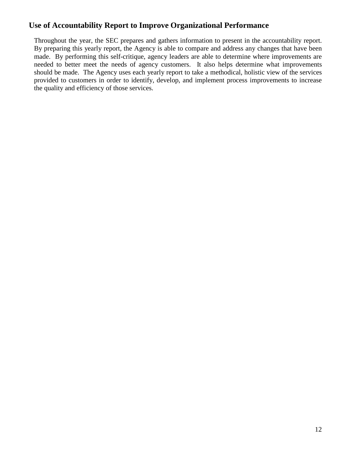# **Use of Accountability Report to Improve Organizational Performance**

Throughout the year, the SEC prepares and gathers information to present in the accountability report. By preparing this yearly report, the Agency is able to compare and address any changes that have been made. By performing this self-critique, agency leaders are able to determine where improvements are needed to better meet the needs of agency customers. It also helps determine what improvements should be made. The Agency uses each yearly report to take a methodical, holistic view of the services provided to customers in order to identify, develop, and implement process improvements to increase the quality and efficiency of those services.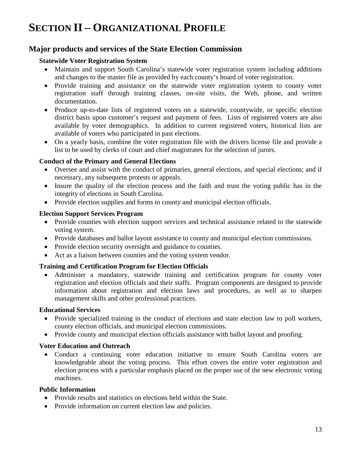# **SECTION II – ORGANIZATIONAL PROFILE**

## **Major products and services of the State Election Commission**

#### **Statewide Voter Registration System**

- Maintain and support South Carolina's statewide voter registration system including additions and changes to the master file as provided by each county's board of voter registration.
- Provide training and assistance on the statewide voter registration system to county voter registration staff through training classes, on-site visits, the Web, phone, and written documentation.
- Produce up-to-date lists of registered voters on a statewide, countywide, or specific election district basis upon customer's request and payment of fees. Lists of registered voters are also available by voter demographics. In addition to current registered voters, historical lists are available of voters who participated in past elections.
- On a yearly basis, combine the voter registration file with the drivers license file and provide a list to be used by clerks of court and chief magistrates for the selection of jurors.

#### **Conduct of the Primary and General Elections**

- Oversee and assist with the conduct of primaries, general elections, and special elections; and if necessary, any subsequent protests or appeals.
- Insure the quality of the election process and the faith and trust the voting public has in the integrity of elections in South Carolina.
- Provide election supplies and forms to county and municipal election officials.

#### **Election Support Services Program**

- Provide counties with election support services and technical assistance related to the statewide voting system.
- Provide databases and ballot layout assistance to county and municipal election commissions.
- Provide election security oversight and guidance to counties.
- Act as a liaison between counties and the voting system vendor.

#### **Training and Certification Program for Election Officials**

• Administer a mandatory, statewide training and certification program for county voter registration and election officials and their staffs. Program components are designed to provide information about registration and election laws and procedures, as well as to sharpen management skills and other professional practices.

#### **Educational Services**

- Provide specialized training in the conduct of elections and state election law to poll workers, county election officials, and municipal election commissions.
- Provide county and municipal election officials assistance with ballot layout and proofing.

#### **Voter Education and Outreach**

• Conduct a continuing voter education initiative to ensure South Carolina voters are knowledgeable about the voting process. This effort covers the entire voter registration and election process with a particular emphasis placed on the proper use of the new electronic voting machines.

#### **Public Information**

- Provide results and statistics on elections held within the State.
- Provide information on current election law and policies.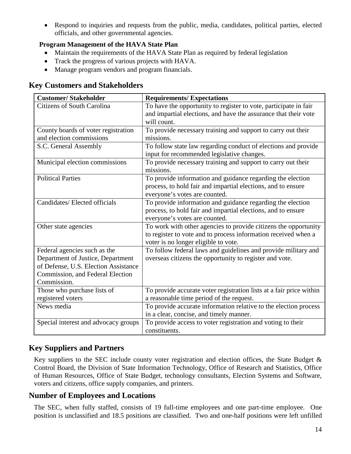• Respond to inquiries and requests from the public, media, candidates, political parties, elected officials, and other governmental agencies.

#### **Program Management of the HAVA State Plan**

- Maintain the requirements of the HAVA State Plan as required by federal legislation
- Track the progress of various projects with HAVA.
- Manage program vendors and program financials.

# **Key Customers and Stakeholders**

| <b>Customer/Stakeholder</b>          | <b>Requirements/Expectations</b>                                    |
|--------------------------------------|---------------------------------------------------------------------|
| <b>Citizens of South Carolina</b>    | To have the opportunity to register to vote, participate in fair    |
|                                      | and impartial elections, and have the assurance that their vote     |
|                                      | will count.                                                         |
| County boards of voter registration  | To provide necessary training and support to carry out their        |
| and election commissions             | missions.                                                           |
| S.C. General Assembly                | To follow state law regarding conduct of elections and provide      |
|                                      | input for recommended legislative changes.                          |
| Municipal election commissions       | To provide necessary training and support to carry out their        |
|                                      | missions.                                                           |
| <b>Political Parties</b>             | To provide information and guidance regarding the election          |
|                                      | process, to hold fair and impartial elections, and to ensure        |
|                                      | everyone's votes are counted.                                       |
| Candidates/ Elected officials        | To provide information and guidance regarding the election          |
|                                      | process, to hold fair and impartial elections, and to ensure        |
|                                      | everyone's votes are counted.                                       |
| Other state agencies                 | To work with other agencies to provide citizens the opportunity     |
|                                      | to register to vote and to process information received when a      |
|                                      | voter is no longer eligible to vote.                                |
| Federal agencies such as the         | To follow federal laws and guidelines and provide military and      |
| Department of Justice, Department    | overseas citizens the opportunity to register and vote.             |
| of Defense, U.S. Election Assistance |                                                                     |
| Commission, and Federal Election     |                                                                     |
| Commission.                          |                                                                     |
| Those who purchase lists of          | To provide accurate voter registration lists at a fair price within |
| registered voters                    | a reasonable time period of the request.                            |
| News media                           | To provide accurate information relative to the election process    |
|                                      | in a clear, concise, and timely manner.                             |
| Special interest and advocacy groups | To provide access to voter registration and voting to their         |
|                                      | constituents.                                                       |

# **Key Suppliers and Partners**

Key suppliers to the SEC include county voter registration and election offices, the State Budget  $\&$ Control Board, the Division of State Information Technology, Office of Research and Statistics, Office of Human Resources, Office of State Budget, technology consultants, Election Systems and Software, voters and citizens, office supply companies, and printers.

# **Number of Employees and Locations**

The SEC, when fully staffed, consists of 19 full-time employees and one part-time employee. One position is unclassified and 18.5 positions are classified. Two and one-half positions were left unfilled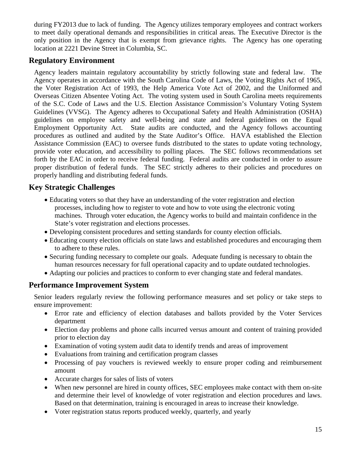during FY2013 due to lack of funding. The Agency utilizes temporary employees and contract workers to meet daily operational demands and responsibilities in critical areas. The Executive Director is the only position in the Agency that is exempt from grievance rights. The Agency has one operating location at 2221 Devine Street in Columbia, SC.

# **Regulatory Environment**

Agency leaders maintain regulatory accountability by strictly following state and federal law. The Agency operates in accordance with the South Carolina Code of Laws, the Voting Rights Act of 1965, the Voter Registration Act of 1993, the Help America Vote Act of 2002, and the Uniformed and Overseas Citizen Absentee Voting Act. The voting system used in South Carolina meets requirements of the S.C. Code of Laws and the U.S. Election Assistance Commission's Voluntary Voting System Guidelines (VVSG). The Agency adheres to Occupational Safety and Health Administration (OSHA) guidelines on employee safety and well-being and state and federal guidelines on the Equal Employment Opportunity Act. State audits are conducted, and the Agency follows accounting procedures as outlined and audited by the State Auditor's Office. HAVA established the Election Assistance Commission (EAC) to oversee funds distributed to the states to update voting technology, provide voter education, and accessibility to polling places. The SEC follows recommendations set forth by the EAC in order to receive federal funding. Federal audits are conducted in order to assure proper distribution of federal funds. The SEC strictly adheres to their policies and procedures on properly handling and distributing federal funds.

# **Key Strategic Challenges**

- Educating voters so that they have an understanding of the voter registration and election processes, including how to register to vote and how to vote using the electronic voting machines. Through voter education, the Agency works to build and maintain confidence in the State's voter registration and elections processes.
- Developing consistent procedures and setting standards for county election officials.
- Educating county election officials on state laws and established procedures and encouraging them to adhere to these rules.
- Securing funding necessary to complete our goals. Adequate funding is necessary to obtain the human resources necessary for full operational capacity and to update outdated technologies.
- Adapting our policies and practices to conform to ever changing state and federal mandates.

# **Performance Improvement System**

Senior leaders regularly review the following performance measures and set policy or take steps to ensure improvement:

- Error rate and efficiency of election databases and ballots provided by the Voter Services department
- Election day problems and phone calls incurred versus amount and content of training provided prior to election day
- Examination of voting system audit data to identify trends and areas of improvement
- Evaluations from training and certification program classes
- Processing of pay vouchers is reviewed weekly to ensure proper coding and reimbursement amount
- Accurate charges for sales of lists of voters
- When new personnel are hired in county offices, SEC employees make contact with them on-site and determine their level of knowledge of voter registration and election procedures and laws. Based on that determination, training is encouraged in areas to increase their knowledge.
- Voter registration status reports produced weekly, quarterly, and yearly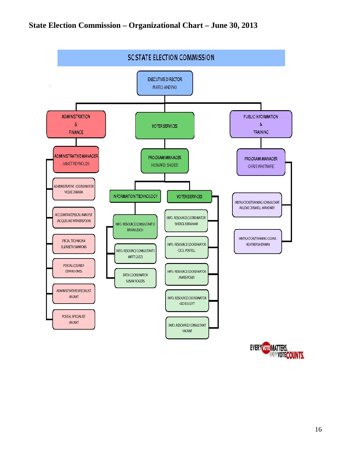# **State Election Commission – Organizational Chart – June 30, 2013**



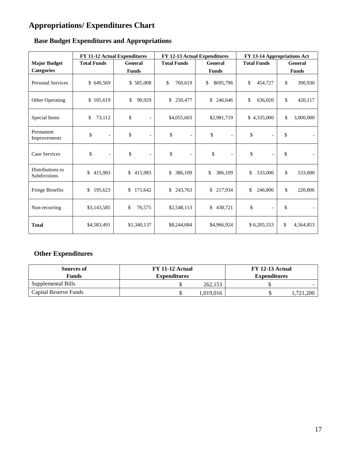# **Appropriations/ Expenditures Chart**

|                                  |                                | FY 11-12 Actual Expenditures<br>FY 12-13 Actual Expenditures<br>FY 13-14 Appropriations Act |                                |                                |                                |                 |  |
|----------------------------------|--------------------------------|---------------------------------------------------------------------------------------------|--------------------------------|--------------------------------|--------------------------------|-----------------|--|
| <b>Major Budget</b>              | <b>Total Funds</b>             | General                                                                                     | <b>Total Funds</b>             | General                        | <b>Total Funds</b>             | General         |  |
| <b>Categories</b>                |                                | <b>Funds</b>                                                                                |                                | <b>Funds</b>                   |                                | <b>Funds</b>    |  |
| <b>Personal Services</b>         | \$649,569                      | \$585,008                                                                                   | \$<br>760,619                  | \$695,796<br>\$                | \$<br>454,727                  | \$<br>390,930   |  |
| Other Operating                  | \$105,619                      | \$<br>90,929                                                                                | \$<br>250,477                  | \$<br>246,646                  |                                | \$<br>420,117   |  |
| Special Items                    | \$<br>73,112                   | \$<br>$\overline{a}$                                                                        | \$4,055,603                    | \$2,981,719                    |                                | \$<br>3,000,000 |  |
| Permanent<br>Improvements        | \$<br>$\overline{\phantom{a}}$ | \$<br>$\overline{\phantom{a}}$                                                              | \$<br>$\overline{\phantom{0}}$ | \$<br>$\overline{\phantom{a}}$ | \$                             | \$              |  |
| Case Services                    | \$<br>$\overline{\phantom{a}}$ | \$<br>$\overline{\phantom{0}}$                                                              | \$<br>$\overline{\phantom{0}}$ | \$<br>$\overline{\phantom{0}}$ | \$<br>$\overline{\phantom{a}}$ | \$              |  |
| Distributions to<br>Subdivisions | \$<br>415,983                  | \$<br>415,983                                                                               | 386,109<br>\$                  | \$<br>386,109                  | \$<br>533,000                  | \$<br>533,000   |  |
| Fringe Benefits                  | \$<br>195,623                  | \$<br>171,642                                                                               | \$<br>243,763                  | 217,934<br>\$                  | \$<br>246,806                  | \$<br>220,806   |  |
| Non-recurring                    | \$3,143,585                    | \$<br>76,575                                                                                | \$2,548,113                    | 438,721<br>\$                  | \$                             | \$              |  |
| <b>Total</b>                     | \$4,583,491                    | \$1,340,137                                                                                 | \$8,244,684                    | \$4,966,924                    | \$6,205,553                    | \$<br>4,564,853 |  |

# **Base Budget Expenditures and Appropriations**

# **Other Expenditures**

| Sources of<br><b>Funds</b> | FY 11-12 Actual<br><b>Expenditures</b> | FY 12-13 Actual<br><b>Expenditures</b> |  |  |  |
|----------------------------|----------------------------------------|----------------------------------------|--|--|--|
| Supplemental Bills         | 262,153                                |                                        |  |  |  |
| Capital Reserve Funds      | .019.016                               | ,721,200                               |  |  |  |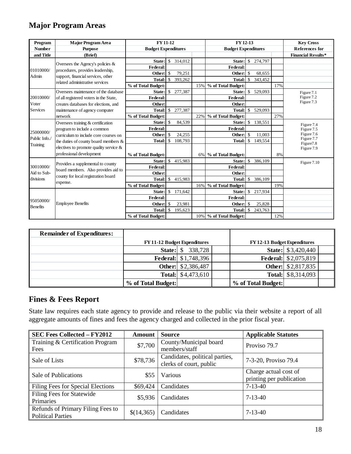# **Major Program Areas**

| Program         | <b>Major Program Area</b>                                                                                                                              | <b>FY 11-12</b>            |                    | FY 12-13 |                            |                        |                       | <b>Key Cross</b> |     |                                     |
|-----------------|--------------------------------------------------------------------------------------------------------------------------------------------------------|----------------------------|--------------------|----------|----------------------------|------------------------|-----------------------|------------------|-----|-------------------------------------|
| <b>Number</b>   | <b>Purpose</b>                                                                                                                                         | <b>Budget Expenditures</b> |                    |          | <b>Budget Expenditures</b> |                        | <b>References for</b> |                  |     |                                     |
| and Title       | (Brief)                                                                                                                                                |                            |                    |          |                            |                        |                       |                  |     | <b>Financial Results*</b>           |
|                 |                                                                                                                                                        | State:                     | $\mathbb{S}$       | 314,012  |                            | State:                 |                       | \$ 274,797       |     |                                     |
| 01010000/       | Oversees the Agency's policies $\&$                                                                                                                    | Federal:                   |                    |          |                            | Federal:               |                       |                  |     |                                     |
| Admin           | procedures, provides leadership,<br>support, financial services, other                                                                                 | Other:                     | -\$                | 79,251   |                            | Other:                 | \$                    | 68,655           |     |                                     |
|                 | related administrative services                                                                                                                        |                            |                    | 393,262  |                            | <b>Total:</b>          | \$                    | 343,452          |     |                                     |
|                 |                                                                                                                                                        | % of Total Budget:         |                    |          | 15%                        | % of Total Budget:     |                       |                  | 17% |                                     |
|                 | Oversees maintenance of the database                                                                                                                   | State:                     | <sup>\$</sup>      | 277,387  |                            | State:                 |                       | \$ 529,093       |     | Figure 7.1                          |
| 20010000/       | of all registered voters in the State,                                                                                                                 | Federal:                   |                    |          |                            | Federal:               |                       |                  |     | Figure 7.2                          |
| Voter           | creates databases for elections, and                                                                                                                   | Other:                     |                    |          |                            | Other:                 |                       |                  |     | Figure 7.3                          |
| Services        | maintenance of agency computer                                                                                                                         | <b>Total:</b>              | $\mathcal{S}$      | 277,387  |                            | <b>Total:</b>          | $\mathbb{S}$          | 529,093          |     |                                     |
|                 | network                                                                                                                                                | % of Total Budget:         |                    |          | 22%                        | % of Total Budget:     |                       |                  | 27% |                                     |
|                 | Oversees training & certification                                                                                                                      | State: \$                  |                    | 84,539   |                            | State:                 | $\mathcal{S}$         | 138,551          |     | Figure 7.4                          |
|                 | program to include a common                                                                                                                            | Federal:                   |                    |          |                            | Federal:               |                       |                  |     | Figure 7.5                          |
| 25000000/       | curriculum to include core courses on<br>the duties of county board members $\&$<br>electives to promote quality service &<br>professional development | Other:                     | -\$                | 24,255   |                            | Other:                 | \$.                   | 11.003           |     | Figure 7.6                          |
| Public Info./   |                                                                                                                                                        | <b>Total:</b>              | -\$                | 108.793  |                            | <b>Total:</b>          | $\mathbb{S}$          | 149,554          |     | Figure 7.7<br>Figure <sub>7.8</sub> |
| Training        |                                                                                                                                                        |                            |                    |          |                            |                        |                       |                  |     | Figure 7.9                          |
|                 |                                                                                                                                                        | % of Total Budget:         |                    |          | 6%                         | % of Total Budget:     |                       |                  | 8%  |                                     |
|                 |                                                                                                                                                        | State: \$                  |                    | 415,983  |                            | State:                 | \$                    | 386,109          |     | Figure 7.10                         |
| 30010000/       | Provides a supplemental to county                                                                                                                      | Federal:                   |                    |          |                            | Federal:               |                       |                  |     |                                     |
| Aid to Sub-     | board members. Also provides aid to                                                                                                                    | Other:                     |                    |          |                            | Other:                 |                       |                  |     |                                     |
| divisions       | county for local registration board                                                                                                                    | <b>Total:</b>              | $\mathbf{\hat{S}}$ | 415,983  |                            | <b>Total:</b>          | $\mathbb{S}$          | 386,109          |     |                                     |
|                 | expense.                                                                                                                                               | % of Total Budget:         |                    |          | 16%                        | % of Total Budget:     |                       |                  | 19% |                                     |
|                 |                                                                                                                                                        | State:                     | $\mathbb{S}$       | 171,642  |                            | State:                 |                       | \$ 217,934       |     |                                     |
|                 |                                                                                                                                                        | Federal:                   |                    |          |                            | Federal:               |                       |                  |     |                                     |
| 95050000/       | <b>Employee Benefits</b>                                                                                                                               | Other:                     | <sup>\$</sup>      | 23,981   |                            | Other:                 | \$                    | 25,828           |     |                                     |
| <b>Benefits</b> |                                                                                                                                                        | Total:                     | $\mathcal{S}$      | 195,623  |                            | <b>Total:</b>          | \$                    | 243,763          |     |                                     |
|                 |                                                                                                                                                        | % of Total Budget:         |                    |          |                            | 10% % of Total Budget: |                       |                  | 12% |                                     |

| <b>Remainder of Expenditures:</b> |                                    |                              |                                    |                             |  |
|-----------------------------------|------------------------------------|------------------------------|------------------------------------|-----------------------------|--|
|                                   | <b>FY11-12 Budget Expenditures</b> |                              | <b>FY12-13 Budget Expenditures</b> |                             |  |
|                                   | State:                             | $\mathbb{S}$<br>338,728      |                                    | <b>State:</b> \$3,420,440   |  |
|                                   |                                    | <b>Federal:</b> $$1,748,396$ |                                    | <b>Federal:</b> \$2,075,819 |  |
|                                   |                                    | <b>Other:</b> \$2,386,487    |                                    | <b>Other:</b> \$2,817,835   |  |
|                                   |                                    | <b>Total:</b> $$4,473,610$   |                                    | <b>Total:</b> \$8,314,093   |  |
|                                   | % of Total Budget:                 |                              | % of Total Budget:                 |                             |  |

## **Fines & Fees Report**

State law requires each state agency to provide and release to the public via their website a report of all aggregate amounts of fines and fees the agency charged and collected in the prior fiscal year.

| <b>SEC Fees Collected - FY2012</b>                            | Amount     | <b>Source</b>                                             | <b>Applicable Statutes</b>                        |
|---------------------------------------------------------------|------------|-----------------------------------------------------------|---------------------------------------------------|
| Training & Certification Program<br>Fees                      | \$7,700    | County/Municipal board<br>members/staff                   | Proviso 79.7                                      |
| Sale of Lists                                                 | \$78,736   | Candidates, political parties,<br>clerks of court, public | 7-3-20, Proviso 79.4                              |
| Sale of Publications                                          | \$55       | Various                                                   | Charge actual cost of<br>printing per publication |
| Filing Fees for Special Elections                             | \$69,424   | Candidates                                                | $7-13-40$                                         |
| <b>Filing Fees for Statewide</b><br>Primaries                 | \$5,936    | Candidates                                                | $7 - 13 - 40$                                     |
| Refunds of Primary Filing Fees to<br><b>Political Parties</b> | \$(14,365) | Candidates                                                | $7 - 13 - 40$                                     |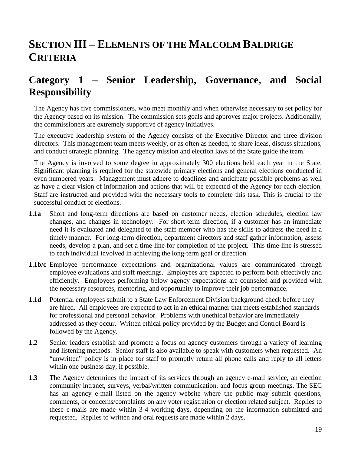# **SECTION III – ELEMENTS OF THE MALCOLM BALDRIGE CRITERIA**

# **Category 1 – Senior Leadership, Governance, and Social Responsibility**

The Agency has five commissioners, who meet monthly and when otherwise necessary to set policy for the Agency based on its mission. The commission sets goals and approves major projects. Additionally, the commissioners are extremely supportive of agency initiatives.

The executive leadership system of the Agency consists of the Executive Director and three division directors. This management team meets weekly, or as often as needed, to share ideas, discuss situations, and conduct strategic planning. The agency mission and election laws of the State guide the team.

The Agency is involved to some degree in approximately 300 elections held each year in the State. Significant planning is required for the statewide primary elections and general elections conducted in even numbered years. Management must adhere to deadlines and anticipate possible problems as well as have a clear vision of information and actions that will be expected of the Agency for each election. Staff are instructed and provided with the necessary tools to complete this task. This is crucial to the successful conduct of elections.

- **1.1a** Short and long-term directions are based on customer needs, election schedules, election law changes, and changes in technology. For short-term direction, if a customer has an immediate need it is evaluated and delegated to the staff member who has the skills to address the need in a timely manner. For long-term direction, department directors and staff gather information, assess needs, develop a plan, and set a time-line for completion of the project. This time-line is stressed to each individual involved in achieving the long-term goal or direction.
- **1.1b/c** Employee performance expectations and organizational values are communicated through employee evaluations and staff meetings. Employees are expected to perform both effectively and efficiently. Employees performing below agency expectations are counseled and provided with the necessary resources, mentoring, and opportunity to improve their job performance.
- **1.1d** Potential employees submit to a State Law Enforcement Division background check before they are hired. All employees are expected to act in an ethical manner that meets established standards for professional and personal behavior. Problems with unethical behavior are immediately addressed as they occur. Written ethical policy provided by the Budget and Control Board is followed by the Agency.
- **1.2** Senior leaders establish and promote a focus on agency customers through a variety of learning and listening methods. Senior staff is also available to speak with customers when requested. An "unwritten" policy is in place for staff to promptly return all phone calls and reply to all letters within one business day, if possible.
- **1.3** The Agency determines the impact of its services through an agency e-mail service, an election community intranet, surveys, verbal/written communication, and focus group meetings. The SEC has an agency e-mail listed on the agency website where the public may submit questions, comments, or concerns/complaints on any voter registration or election related subject. Replies to these e-mails are made within 3-4 working days, depending on the information submitted and requested. Replies to written and oral requests are made within 2 days.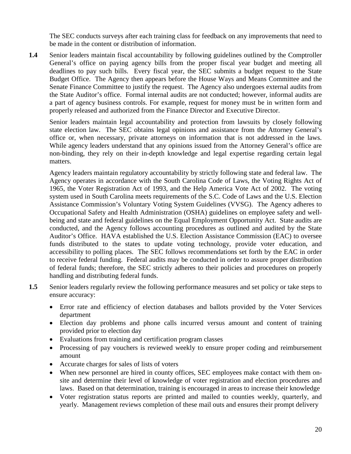The SEC conducts surveys after each training class for feedback on any improvements that need to be made in the content or distribution of information.

**1.4** Senior leaders maintain fiscal accountability by following guidelines outlined by the Comptroller General's office on paying agency bills from the proper fiscal year budget and meeting all deadlines to pay such bills. Every fiscal year, the SEC submits a budget request to the State Budget Office. The Agency then appears before the House Ways and Means Committee and the Senate Finance Committee to justify the request. The Agency also undergoes external audits from the State Auditor's office. Formal internal audits are not conducted; however, informal audits are a part of agency business controls. For example, request for money must be in written form and properly released and authorized from the Finance Director and Executive Director.

Senior leaders maintain legal accountability and protection from lawsuits by closely following state election law. The SEC obtains legal opinions and assistance from the Attorney General's office or, when necessary, private attorneys on information that is not addressed in the laws. While agency leaders understand that any opinions issued from the Attorney General's office are non-binding, they rely on their in-depth knowledge and legal expertise regarding certain legal matters.

Agency leaders maintain regulatory accountability by strictly following state and federal law. The Agency operates in accordance with the South Carolina Code of Laws, the Voting Rights Act of 1965, the Voter Registration Act of 1993, and the Help America Vote Act of 2002. The voting system used in South Carolina meets requirements of the S.C. Code of Laws and the U.S. Election Assistance Commission's Voluntary Voting System Guidelines (VVSG). The Agency adheres to Occupational Safety and Health Administration (OSHA) guidelines on employee safety and wellbeing and state and federal guidelines on the Equal Employment Opportunity Act. State audits are conducted, and the Agency follows accounting procedures as outlined and audited by the State Auditor's Office. HAVA established the U.S. Election Assistance Commission (EAC) to oversee funds distributed to the states to update voting technology, provide voter education, and accessibility to polling places. The SEC follows recommendations set forth by the EAC in order to receive federal funding. Federal audits may be conducted in order to assure proper distribution of federal funds; therefore, the SEC strictly adheres to their policies and procedures on properly handling and distributing federal funds.

- **1.5** Senior leaders regularly review the following performance measures and set policy or take steps to ensure accuracy:
	- Error rate and efficiency of election databases and ballots provided by the Voter Services department
	- Election day problems and phone calls incurred versus amount and content of training provided prior to election day
	- Evaluations from training and certification program classes
	- Processing of pay vouchers is reviewed weekly to ensure proper coding and reimbursement amount
	- Accurate charges for sales of lists of voters
	- When new personnel are hired in county offices, SEC employees make contact with them onsite and determine their level of knowledge of voter registration and election procedures and laws. Based on that determination, training is encouraged in areas to increase their knowledge
	- Voter registration status reports are printed and mailed to counties weekly, quarterly, and yearly. Management reviews completion of these mail outs and ensures their prompt delivery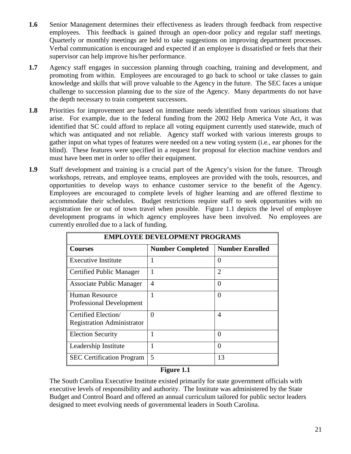- **1.6** Senior Management determines their effectiveness as leaders through feedback from respective employees. This feedback is gained through an open-door policy and regular staff meetings. Quarterly or monthly meetings are held to take suggestions on improving department processes. Verbal communication is encouraged and expected if an employee is dissatisfied or feels that their supervisor can help improve his/her performance.
- **1.7** Agency staff engages in succession planning through coaching, training and development, and promoting from within. Employees are encouraged to go back to school or take classes to gain knowledge and skills that will prove valuable to the Agency in the future. The SEC faces a unique challenge to succession planning due to the size of the Agency. Many departments do not have the depth necessary to train competent successors.
- **1.8** Priorities for improvement are based on immediate needs identified from various situations that arise. For example, due to the federal funding from the 2002 Help America Vote Act, it was identified that SC could afford to replace all voting equipment currently used statewide, much of which was antiquated and not reliable. Agency staff worked with various interests groups to gather input on what types of features were needed on a new voting system (i.e., ear phones for the blind). These features were specified in a request for proposal for election machine vendors and must have been met in order to offer their equipment.
- **1.9** Staff development and training is a crucial part of the Agency's vision for the future. Through workshops, retreats, and employee teams, employees are provided with the tools, resources, and opportunities to develop ways to enhance customer service to the benefit of the Agency. Employees are encouraged to complete levels of higher learning and are offered flextime to accommodate their schedules. Budget restrictions require staff to seek opportunities with no registration fee or out of town travel when possible. Figure 1.1 depicts the level of employee development programs in which agency employees have been involved. No employees are currently enrolled due to a lack of funding.

| <b>EMPLOYEE DEVELOPMENT PROGRAMS</b> |                         |                        |  |  |  |  |  |
|--------------------------------------|-------------------------|------------------------|--|--|--|--|--|
| <b>Courses</b>                       | <b>Number Completed</b> | <b>Number Enrolled</b> |  |  |  |  |  |
| <b>Executive Institute</b>           | 1                       | $\Omega$               |  |  |  |  |  |
| Certified Public Manager             | 1                       | $\overline{2}$         |  |  |  |  |  |
| <b>Associate Public Manager</b>      | 4                       | $\theta$               |  |  |  |  |  |
| <b>Human Resource</b>                | 1                       | $\Omega$               |  |  |  |  |  |
| <b>Professional Development</b>      |                         |                        |  |  |  |  |  |
| Certified Election/                  | 0                       | 4                      |  |  |  |  |  |
| <b>Registration Administrator</b>    |                         |                        |  |  |  |  |  |
| <b>Election Security</b>             | 1                       | 0                      |  |  |  |  |  |
| Leadership Institute                 | 1                       | 0                      |  |  |  |  |  |
| <b>SEC</b> Certification Program     | 5                       | 13                     |  |  |  |  |  |

#### **Figure 1.1**

The South Carolina Executive Institute existed primarily for state government officials with executive levels of responsibility and authority. The Institute was administered by the State Budget and Control Board and offered an annual curriculum tailored for public sector leaders designed to meet evolving needs of governmental leaders in South Carolina.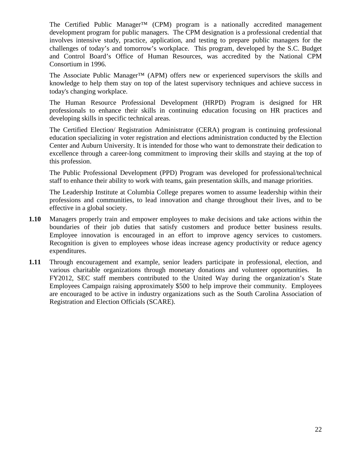The Certified Public Manager<sup>™</sup> (CPM) program is a nationally accredited management development program for public managers. The CPM designation is a professional credential that involves intensive study, practice, application, and testing to prepare public managers for the challenges of today's and tomorrow's workplace. This program, developed by the S.C. Budget and Control Board's Office of Human Resources, was accredited by the National CPM Consortium in 1996.

The Associate Public Manager™ (APM) offers new or experienced supervisors the skills and knowledge to help them stay on top of the latest supervisory techniques and achieve success in today's changing workplace.

The Human Resource Professional Development (HRPD) Program is designed for HR professionals to enhance their skills in continuing education focusing on HR practices and developing skills in specific technical areas.

The Certified Election/ Registration Administrator (CERA) program is continuing professional education specializing in voter registration and elections administration conducted by the Election Center and Auburn University. It is intended for those who want to demonstrate their dedication to excellence through a career-long commitment to improving their skills and staying at the top of this profession.

The Public Professional Development (PPD) Program was developed for professional/technical staff to enhance their ability to work with teams, gain presentation skills, and manage priorities.

The Leadership Institute at Columbia College prepares women to assume leadership within their professions and communities, to lead innovation and change throughout their lives, and to be effective in a global society.

- **1.10** Managers properly train and empower employees to make decisions and take actions within the boundaries of their job duties that satisfy customers and produce better business results. Employee innovation is encouraged in an effort to improve agency services to customers. Recognition is given to employees whose ideas increase agency productivity or reduce agency expenditures.
- **1.11** Through encouragement and example, senior leaders participate in professional, election, and various charitable organizations through monetary donations and volunteer opportunities. In FY2012, SEC staff members contributed to the United Way during the organization's State Employees Campaign raising approximately \$500 to help improve their community. Employees are encouraged to be active in industry organizations such as the South Carolina Association of Registration and Election Officials (SCARE).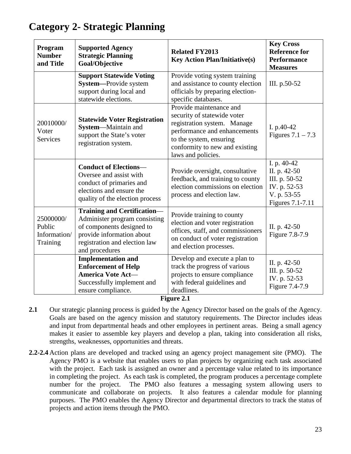| Program<br><b>Number</b><br>and Title           | <b>Supported Agency</b><br><b>Strategic Planning</b><br>Goal/Objective                                                                                                           | <b>Related FY2013</b><br><b>Key Action Plan/Initiative(s)</b>                                                                                                                                            | <b>Key Cross</b><br><b>Reference for</b><br><b>Performance</b><br><b>Measures</b>               |
|-------------------------------------------------|----------------------------------------------------------------------------------------------------------------------------------------------------------------------------------|----------------------------------------------------------------------------------------------------------------------------------------------------------------------------------------------------------|-------------------------------------------------------------------------------------------------|
|                                                 | <b>Support Statewide Voting</b><br>System-Provide system<br>support during local and<br>statewide elections.                                                                     | Provide voting system training<br>and assistance to county election<br>officials by preparing election-<br>specific databases.                                                                           | III. p.50-52                                                                                    |
| 20010000/<br>Voter<br><b>Services</b>           | <b>Statewide Voter Registration</b><br>System-Maintain and<br>support the State's voter<br>registration system.                                                                  | Provide maintenance and<br>security of statewide voter<br>registration system. Manage<br>performance and enhancements<br>to the system, ensuring<br>conformity to new and existing<br>laws and policies. | I. p.40-42<br>Figures $7.1 - 7.3$                                                               |
|                                                 | <b>Conduct of Elections-</b><br>Oversee and assist with<br>conduct of primaries and<br>elections and ensure the<br>quality of the election process                               | Provide oversight, consultative<br>feedback, and training to county<br>election commissions on election<br>process and election law.                                                                     | I. p. 40-42<br>II. p. 42-50<br>III. p. 50-52<br>IV. p. 52-53<br>V. p. 53-55<br>Figures 7.1-7.11 |
| 25000000/<br>Public<br>Information/<br>Training | <b>Training and Certification-</b><br>Administer program consisting<br>of components designed to<br>provide information about<br>registration and election law<br>and procedures | Provide training to county<br>election and voter registration<br>offices, staff, and commissioners<br>on conduct of voter registration<br>and election processes.                                        | II. p. 42-50<br>Figure 7.8-7.9                                                                  |
|                                                 | <b>Implementation and</b><br><b>Enforcement of Help</b><br>America Vote Act-<br>Successfully implement and<br>ensure compliance.<br>$\mathbf{r}$                                 | Develop and execute a plan to<br>track the progress of various<br>projects to ensure compliance<br>with federal guidelines and<br>deadlines.<br>$\sim$ $\sim$                                            | II. p. 42-50<br>III. p. 50-52<br>IV. p. 52-53<br>Figure 7.4-7.9                                 |

**Figure 2.1**

- **2.1** Our strategic planning process is guided by the Agency Director based on the goals of the Agency. Goals are based on the agency mission and statutory requirements. The Director includes ideas and input from departmental heads and other employees in pertinent areas. Being a small agency makes it easier to assemble key players and develop a plan, taking into consideration all risks, strengths, weaknesses, opportunities and threats.
- **2.2-2.4** Action plans are developed and tracked using an agency project management site (PMO). The Agency PMO is a website that enables users to plan projects by organizing each task associated with the project. Each task is assigned an owner and a percentage value related to its importance in completing the project. As each task is completed, the program produces a percentage complete number for the project. The PMO also features a messaging system allowing users to communicate and collaborate on projects. It also features a calendar module for planning purposes. The PMO enables the Agency Director and departmental directors to track the status of projects and action items through the PMO.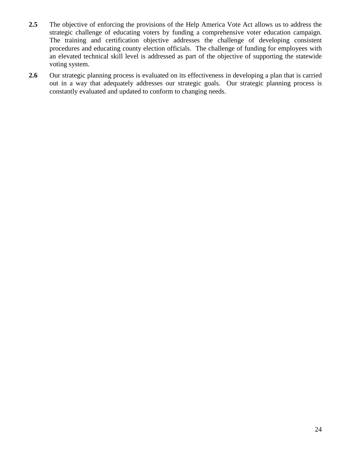- **2.5** The objective of enforcing the provisions of the Help America Vote Act allows us to address the strategic challenge of educating voters by funding a comprehensive voter education campaign. The training and certification objective addresses the challenge of developing consistent procedures and educating county election officials. The challenge of funding for employees with an elevated technical skill level is addressed as part of the objective of supporting the statewide voting system.
- 2.6 Our strategic planning process is evaluated on its effectiveness in developing a plan that is carried out in a way that adequately addresses our strategic goals. Our strategic planning process is constantly evaluated and updated to conform to changing needs.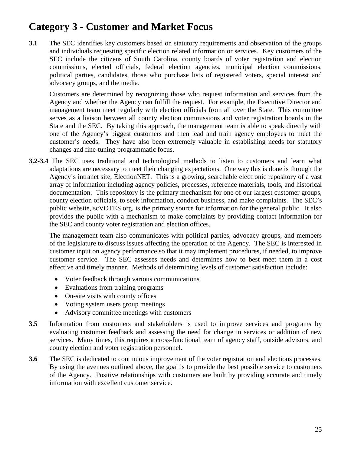# **Category 3 - Customer and Market Focus**

**3.1** The SEC identifies key customers based on statutory requirements and observation of the groups and individuals requesting specific election related information or services. Key customers of the SEC include the citizens of South Carolina, county boards of voter registration and election commissions, elected officials, federal election agencies, municipal election commissions, political parties, candidates, those who purchase lists of registered voters, special interest and advocacy groups, and the media.

Customers are determined by recognizing those who request information and services from the Agency and whether the Agency can fulfill the request. For example, the Executive Director and management team meet regularly with election officials from all over the State. This committee serves as a liaison between all county election commissions and voter registration boards in the State and the SEC. By taking this approach, the management team is able to speak directly with one of the Agency's biggest customers and then lead and train agency employees to meet the customer's needs. They have also been extremely valuable in establishing needs for statutory changes and fine-tuning programmatic focus.

**3.2-3.4** The SEC uses traditional and technological methods to listen to customers and learn what adaptations are necessary to meet their changing expectations. One way this is done is through the Agency's intranet site, ElectionNET. This is a growing, searchable electronic repository of a vast array of information including agency policies, processes, reference materials, tools, and historical documentation. This repository is the primary mechanism for one of our largest customer groups, county election officials, to seek information, conduct business, and make complaints. The SEC's public website, scVOTES.org, is the primary source for information for the general public. It also provides the public with a mechanism to make complaints by providing contact information for the SEC and county voter registration and election offices.

The management team also communicates with political parties, advocacy groups, and members of the legislature to discuss issues affecting the operation of the Agency. The SEC is interested in customer input on agency performance so that it may implement procedures, if needed, to improve customer service. The SEC assesses needs and determines how to best meet them in a cost effective and timely manner. Methods of determining levels of customer satisfaction include:

- Voter feedback through various communications
- Evaluations from training programs
- On-site visits with county offices
- Voting system users group meetings
- Advisory committee meetings with customers
- **3.5** Information from customers and stakeholders is used to improve services and programs by evaluating customer feedback and assessing the need for change in services or addition of new services. Many times, this requires a cross-functional team of agency staff, outside advisors, and county election and voter registration personnel.
- **3.6** The SEC is dedicated to continuous improvement of the voter registration and elections processes. By using the avenues outlined above, the goal is to provide the best possible service to customers of the Agency. Positive relationships with customers are built by providing accurate and timely information with excellent customer service.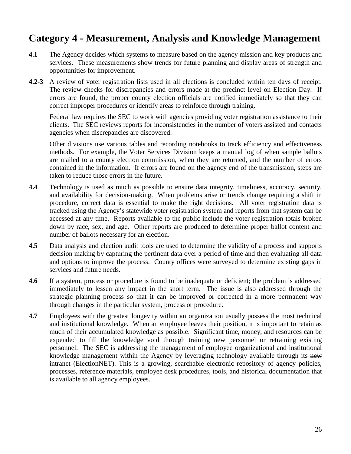# **Category 4 - Measurement, Analysis and Knowledge Management**

- **4.1** The Agency decides which systems to measure based on the agency mission and key products and services. These measurements show trends for future planning and display areas of strength and opportunities for improvement.
- **4.2-3** A review of voter registration lists used in all elections is concluded within ten days of receipt. The review checks for discrepancies and errors made at the precinct level on Election Day. If errors are found, the proper county election officials are notified immediately so that they can correct improper procedures or identify areas to reinforce through training.

Federal law requires the SEC to work with agencies providing voter registration assistance to their clients. The SEC reviews reports for inconsistencies in the number of voters assisted and contacts agencies when discrepancies are discovered.

Other divisions use various tables and recording notebooks to track efficiency and effectiveness methods. For example, the Voter Services Division keeps a manual log of when sample ballots are mailed to a county election commission, when they are returned, and the number of errors contained in the information. If errors are found on the agency end of the transmission, steps are taken to reduce those errors in the future.

- **4.4** Technology is used as much as possible to ensure data integrity, timeliness, accuracy, security, and availability for decision-making. When problems arise or trends change requiring a shift in procedure, correct data is essential to make the right decisions. All voter registration data is tracked using the Agency's statewide voter registration system and reports from that system can be accessed at any time. Reports available to the public include the voter registration totals broken down by race, sex, and age. Other reports are produced to determine proper ballot content and number of ballots necessary for an election.
- **4.5** Data analysis and election audit tools are used to determine the validity of a process and supports decision making by capturing the pertinent data over a period of time and then evaluating all data and options to improve the process. County offices were surveyed to determine existing gaps in services and future needs.
- **4.6** If a system, process or procedure is found to be inadequate or deficient; the problem is addressed immediately to lessen any impact in the short term. The issue is also addressed through the strategic planning process so that it can be improved or corrected in a more permanent way through changes in the particular system, process or procedure.
- **4.7** Employees with the greatest longevity within an organization usually possess the most technical and institutional knowledge. When an employee leaves their position, it is important to retain as much of their accumulated knowledge as possible. Significant time, money, and resources can be expended to fill the knowledge void through training new personnel or retraining existing personnel. The SEC is addressing the management of employee organizational and institutional knowledge management within the Agency by leveraging technology available through its new intranet (ElectionNET). This is a growing, searchable electronic repository of agency policies, processes, reference materials, employee desk procedures, tools, and historical documentation that is available to all agency employees.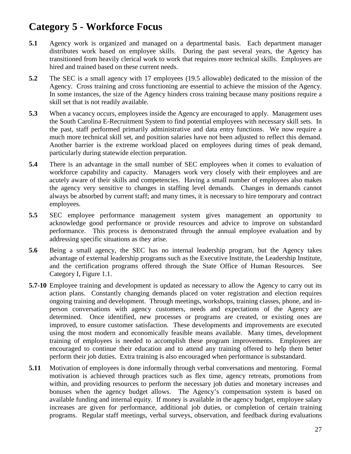# **Category 5 - Workforce Focus**

- **5.1** Agency work is organized and managed on a departmental basis. Each department manager distributes work based on employee skills. During the past several years, the Agency has transitioned from heavily clerical work to work that requires more technical skills. Employees are hired and trained based on these current needs.
- **5.2** The SEC is a small agency with 17 employees (19.5 allowable) dedicated to the mission of the Agency. Cross training and cross functioning are essential to achieve the mission of the Agency. In some instances, the size of the Agency hinders cross training because many positions require a skill set that is not readily available.
- **5.3** When a vacancy occurs, employees inside the Agency are encouraged to apply. Management uses the South Carolina E-Recruitment System to find potential employees with necessary skill sets. In the past, staff performed primarily administrative and data entry functions. We now require a much more technical skill set, and position salaries have not been adjusted to reflect this demand. Another barrier is the extreme workload placed on employees during times of peak demand, particularly during statewide election preparation.
- **5.4** There is an advantage in the small number of SEC employees when it comes to evaluation of workforce capability and capacity. Managers work very closely with their employees and are acutely aware of their skills and competencies. Having a small number of employees also makes the agency very sensitive to changes in staffing level demands. Changes in demands cannot always be absorbed by current staff; and many times, it is necessary to hire temporary and contract employees.
- **5.5** SEC employee performance management system gives management an opportunity to acknowledge good performance or provide resources and advice to improve on substandard performance. This process is demonstrated through the annual employee evaluation and by addressing specific situations as they arise.
- **5.6** Being a small agency, the SEC has no internal leadership program, but the Agency takes advantage of external leadership programs such as the Executive Institute, the Leadership Institute, and the certification programs offered through the State Office of Human Resources. See Category I, Figure 1.1.
- **5.7-10** Employee training and development is updated as necessary to allow the Agency to carry out its action plans. Constantly changing demands placed on voter registration and election requires ongoing training and development. Through meetings, workshops, training classes, phone, and inperson conversations with agency customers, needs and expectations of the Agency are determined. Once identified, new processes or programs are created, or existing ones are improved, to ensure customer satisfaction. These developments and improvements are executed using the most modern and economically feasible means available. Many times, development training of employees is needed to accomplish these program improvements. Employees are encouraged to continue their education and to attend any training offered to help them better perform their job duties. Extra training is also encouraged when performance is substandard.
- **5.11** Motivation of employees is done informally through verbal conversations and mentoring. Formal motivation is achieved through practices such as flex time, agency retreats, promotions from within, and providing resources to perform the necessary job duties and monetary increases and bonuses when the agency budget allows. The Agency's compensation system is based on available funding and internal equity. If money is available in the agency budget, employee salary increases are given for performance, additional job duties, or completion of certain training programs. Regular staff meetings, verbal surveys, observation, and feedback during evaluations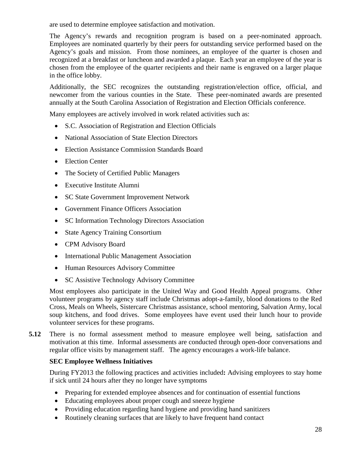are used to determine employee satisfaction and motivation.

The Agency's rewards and recognition program is based on a peer-nominated approach. Employees are nominated quarterly by their peers for outstanding service performed based on the Agency's goals and mission. From those nominees, an employee of the quarter is chosen and recognized at a breakfast or luncheon and awarded a plaque. Each year an employee of the year is chosen from the employee of the quarter recipients and their name is engraved on a larger plaque in the office lobby.

Additionally, the SEC recognizes the outstanding registration/election office, official, and newcomer from the various counties in the State. These peer-nominated awards are presented annually at the South Carolina Association of Registration and Election Officials conference.

Many employees are actively involved in work related activities such as:

- S.C. Association of Registration and Election Officials
- National Association of State Election Directors
- Election Assistance Commission Standards Board
- Election Center
- The Society of Certified Public Managers
- Executive Institute Alumni
- SC State Government Improvement Network
- Government Finance Officers Association
- SC Information Technology Directors Association
- State Agency Training Consortium
- CPM Advisory Board
- International Public Management Association
- Human Resources Advisory Committee
- SC Assistive Technology Advisory Committee

Most employees also participate in the United Way and Good Health Appeal programs. Other volunteer programs by agency staff include Christmas adopt-a-family, blood donations to the Red Cross, Meals on Wheels, Sistercare Christmas assistance, school mentoring, Salvation Army, local soup kitchens, and food drives. Some employees have event used their lunch hour to provide volunteer services for these programs.

**5.12** There is no formal assessment method to measure employee well being, satisfaction and motivation at this time. Informal assessments are conducted through open-door conversations and regular office visits by management staff. The agency encourages a work-life balance.

#### **SEC Employee Wellness Initiatives**

During FY2013 the following practices and activities included**:** Advising employees to stay home if sick until 24 hours after they no longer have symptoms

- Preparing for extended employee absences and for continuation of essential functions
- Educating employees about proper cough and sneeze hygiene
- Providing education regarding hand hygiene and providing hand sanitizers
- Routinely cleaning surfaces that are likely to have frequent hand contact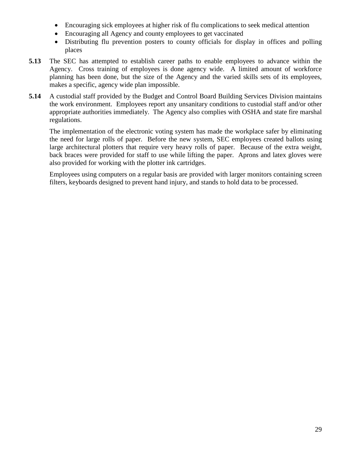- Encouraging sick employees at higher risk of flu complications to seek medical attention
- Encouraging all Agency and county employees to get vaccinated
- Distributing flu prevention posters to county officials for display in offices and polling places
- **5.13** The SEC has attempted to establish career paths to enable employees to advance within the Agency. Cross training of employees is done agency wide. A limited amount of workforce planning has been done, but the size of the Agency and the varied skills sets of its employees, makes a specific, agency wide plan impossible.
- **5.14** A custodial staff provided by the Budget and Control Board Building Services Division maintains the work environment. Employees report any unsanitary conditions to custodial staff and/or other appropriate authorities immediately. The Agency also complies with OSHA and state fire marshal regulations.

The implementation of the electronic voting system has made the workplace safer by eliminating the need for large rolls of paper. Before the new system, SEC employees created ballots using large architectural plotters that require very heavy rolls of paper. Because of the extra weight, back braces were provided for staff to use while lifting the paper. Aprons and latex gloves were also provided for working with the plotter ink cartridges.

Employees using computers on a regular basis are provided with larger monitors containing screen filters, keyboards designed to prevent hand injury, and stands to hold data to be processed.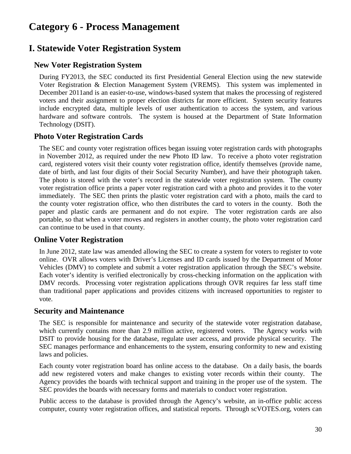# **Category 6 - Process Management**

# **I. Statewide Voter Registration System**

# **New Voter Registration System**

During FY2013, the SEC conducted its first Presidential General Election using the new statewide Voter Registration & Election Management System (VREMS). This system was implemented in December 2011and is an easier-to-use, windows-based system that makes the processing of registered voters and their assignment to proper election districts far more efficient. System security features include encrypted data, multiple levels of user authentication to access the system, and various hardware and software controls. The system is housed at the Department of State Information Technology (DSIT).

# **Photo Voter Registration Cards**

The SEC and county voter registration offices began issuing voter registration cards with photographs in November 2012, as required under the new Photo ID law. To receive a photo voter registration card, registered voters visit their county voter registration office, identify themselves (provide name, date of birth, and last four digits of their Social Security Number), and have their photograph taken. The photo is stored with the voter's record in the statewide voter registration system. The county voter registration office prints a paper voter registration card with a photo and provides it to the voter immediately. The SEC then prints the plastic voter registration card with a photo, mails the card to the county voter registration office, who then distributes the card to voters in the county. Both the paper and plastic cards are permanent and do not expire. The voter registration cards are also portable, so that when a voter moves and registers in another county, the photo voter registration card can continue to be used in that county.

# **Online Voter Registration**

In June 2012, state law was amended allowing the SEC to create a system for voters to register to vote online. OVR allows voters with Driver's Licenses and ID cards issued by the Department of Motor Vehicles (DMV) to complete and submit a voter registration application through the SEC's website. Each voter's identity is verified electronically by cross-checking information on the application with DMV records. Processing voter registration applications through OVR requires far less staff time than traditional paper applications and provides citizens with increased opportunities to register to vote.

# **Security and Maintenance**

The SEC is responsible for maintenance and security of the statewide voter registration database, which currently contains more than 2.9 million active, registered voters. The Agency works with DSIT to provide housing for the database, regulate user access, and provide physical security. The SEC manages performance and enhancements to the system, ensuring conformity to new and existing laws and policies.

Each county voter registration board has online access to the database. On a daily basis, the boards add new registered voters and make changes to existing voter records within their county. The Agency provides the boards with technical support and training in the proper use of the system. The SEC provides the boards with necessary forms and materials to conduct voter registration.

Public access to the database is provided through the Agency's website, an in-office public access computer, county voter registration offices, and statistical reports. Through scVOTES.org, voters can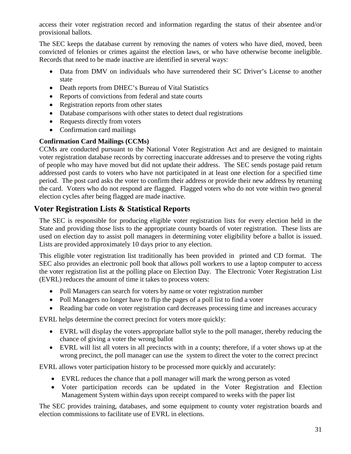access their voter registration record and information regarding the status of their absentee and/or provisional ballots.

The SEC keeps the database current by removing the names of voters who have died, moved, been convicted of felonies or crimes against the election laws, or who have otherwise become ineligible. Records that need to be made inactive are identified in several ways:

- Data from DMV on individuals who have surrendered their SC Driver's License to another state
- Death reports from DHEC's Bureau of Vital Statistics
- Reports of convictions from federal and state courts
- Registration reports from other states
- Database comparisons with other states to detect dual registrations
- Requests directly from voters
- Confirmation card mailings

#### **Confirmation Card Mailings (CCMs)**

CCMs are conducted pursuant to the National Voter Registration Act and are designed to maintain voter registration database records by correcting inaccurate addresses and to preserve the voting rights of people who may have moved but did not update their address. The SEC sends postage paid return addressed post cards to voters who have not participated in at least one election for a specified time period. The post card asks the voter to confirm their address or provide their new address by returning the card. Voters who do not respond are flagged. Flagged voters who do not vote within two general election cycles after being flagged are made inactive.

# **Voter Registration Lists & Statistical Reports**

The SEC is responsible for producing eligible voter registration lists for every election held in the State and providing those lists to the appropriate county boards of voter registration. These lists are used on election day to assist poll managers in determining voter eligibility before a ballot is issued. Lists are provided approximately 10 days prior to any election.

This eligible voter registration list traditionally has been provided in printed and CD format. The SEC also provides an electronic poll book that allows poll workers to use a laptop computer to access the voter registration list at the polling place on Election Day. The Electronic Voter Registration List (EVRL) reduces the amount of time it takes to process voters:

- Poll Managers can search for voters by name or voter registration number
- Poll Managers no longer have to flip the pages of a poll list to find a voter
- Reading bar code on voter registration card decreases processing time and increases accuracy

EVRL helps determine the correct precinct for voters more quickly:

- EVRL will display the voters appropriate ballot style to the poll manager, thereby reducing the chance of giving a voter the wrong ballot
- EVRL will list all voters in all precincts with in a county; therefore, if a voter shows up at the wrong precinct, the poll manager can use the system to direct the voter to the correct precinct

EVRL allows voter participation history to be processed more quickly and accurately:

- EVRL reduces the chance that a poll manager will mark the wrong person as voted
- Voter participation records can be updated in the Voter Registration and Election Management System within days upon receipt compared to weeks with the paper list

The SEC provides training, databases, and some equipment to county voter registration boards and election commissions to facilitate use of EVRL in elections.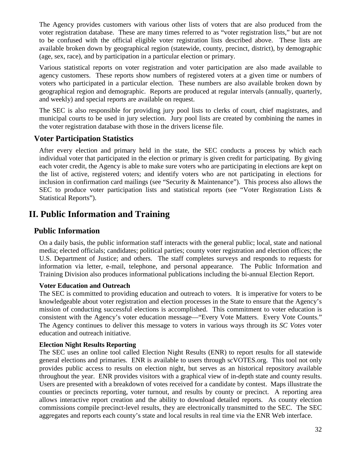The Agency provides customers with various other lists of voters that are also produced from the voter registration database. These are many times referred to as "voter registration lists," but are not to be confused with the official eligible voter registration lists described above. These lists are available broken down by geographical region (statewide, county, precinct, district), by demographic (age, sex, race), and by participation in a particular election or primary.

Various statistical reports on voter registration and voter participation are also made available to agency customers. These reports show numbers of registered voters at a given time or numbers of voters who participated in a particular election. These numbers are also available broken down by geographical region and demographic. Reports are produced at regular intervals (annually, quarterly, and weekly) and special reports are available on request.

The SEC is also responsible for providing jury pool lists to clerks of court, chief magistrates, and municipal courts to be used in jury selection. Jury pool lists are created by combining the names in the voter registration database with those in the drivers license file.

# **Voter Participation Statistics**

After every election and primary held in the state, the SEC conducts a process by which each individual voter that participated in the election or primary is given credit for participating. By giving each voter credit, the Agency is able to make sure voters who are participating in elections are kept on the list of active, registered voters; and identify voters who are not participating in elections for inclusion in confirmation card mailings (see "Security & Maintenance"). This process also allows the SEC to produce voter participation lists and statistical reports (see "Voter Registration Lists & Statistical Reports").

# **II. Public Information and Training**

# **Public Information**

On a daily basis, the public information staff interacts with the general public; local, state and national media; elected officials; candidates; political parties; county voter registration and election offices; the U.S. Department of Justice; and others. The staff completes surveys and responds to requests for information via letter, e-mail, telephone, and personal appearance. The Public Information and Training Division also produces informational publications including the bi-annual Election Report.

#### **Voter Education and Outreach**

The SEC is committed to providing education and outreach to voters. It is imperative for voters to be knowledgeable about voter registration and election processes in the State to ensure that the Agency's mission of conducting successful elections is accomplished. This commitment to voter education is consistent with the Agency's voter education message—"Every Vote Matters. Every Vote Counts." The Agency continues to deliver this message to voters in various ways through its *SC Votes* voter education and outreach initiative.

#### **Election Night Results Reporting**

The SEC uses an online tool called Election Night Results (ENR) to report results for all statewide general elections and primaries. ENR is available to users through scVOTES.org. This tool not only provides public access to results on election night, but serves as an historical repository available throughout the year. ENR provides visitors with a graphical view of in-depth state and county results. Users are presented with a breakdown of votes received for a candidate by contest. Maps illustrate the counties or precincts reporting, voter turnout, and results by county or precinct. A reporting area allows interactive report creation and the ability to download detailed reports. As county election commissions compile precinct-level results, they are electronically transmitted to the SEC. The SEC aggregates and reports each county's state and local results in real time via the ENR Web interface.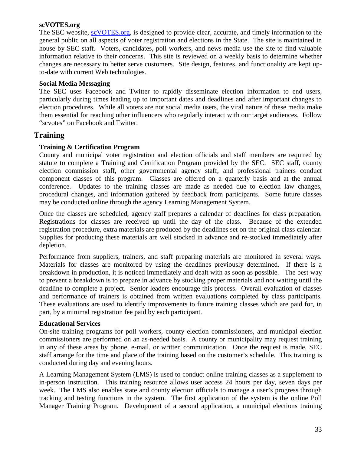#### **scVOTES.org**

The SEC website, [scVOTES.org,](http://www.scvotes.org/) is designed to provide clear, accurate, and timely information to the general public on all aspects of voter registration and elections in the State. The site is maintained in house by SEC staff. Voters, candidates, poll workers, and news media use the site to find valuable information relative to their concerns. This site is reviewed on a weekly basis to determine whether changes are necessary to better serve customers. Site design, features, and functionality are kept upto-date with current Web technologies.

#### **Social Media Messaging**

The SEC uses Facebook and Twitter to rapidly disseminate election information to end users, particularly during times leading up to important dates and deadlines and after important changes to election procedures. While all voters are not social media users, the viral nature of these media make them essential for reaching other influencers who regularly interact with our target audiences. Follow "scvotes" on Facebook and Twitter.

#### **Training**

#### **Training & Certification Program**

County and municipal voter registration and election officials and staff members are required by statute to complete a Training and Certification Program provided by the SEC. SEC staff, county election commission staff, other governmental agency staff, and professional trainers conduct component classes of this program. Classes are offered on a quarterly basis and at the annual conference. Updates to the training classes are made as needed due to election law changes, procedural changes, and information gathered by feedback from participants. Some future classes may be conducted online through the agency Learning Management System.

Once the classes are scheduled, agency staff prepares a calendar of deadlines for class preparation. Registrations for classes are received up until the day of the class. Because of the extended registration procedure, extra materials are produced by the deadlines set on the original class calendar. Supplies for producing these materials are well stocked in advance and re-stocked immediately after depletion.

Performance from suppliers, trainers, and staff preparing materials are monitored in several ways. Materials for classes are monitored by using the deadlines previously determined. If there is a breakdown in production, it is noticed immediately and dealt with as soon as possible. The best way to prevent a breakdown is to prepare in advance by stocking proper materials and not waiting until the deadline to complete a project. Senior leaders encourage this process. Overall evaluation of classes and performance of trainers is obtained from written evaluations completed by class participants. These evaluations are used to identify improvements to future training classes which are paid for, in part, by a minimal registration fee paid by each participant.

#### **Educational Services**

On-site training programs for poll workers, county election commissioners, and municipal election commissioners are performed on an as-needed basis. A county or municipality may request training in any of these areas by phone, e-mail, or written communication. Once the request is made, SEC staff arrange for the time and place of the training based on the customer's schedule. This training is conducted during day and evening hours.

A Learning Management System (LMS) is used to conduct online training classes as a supplement to in-person instruction. This training resource allows user access 24 hours per day, seven days per week. The LMS also enables state and county election officials to manage a user's progress through tracking and testing functions in the system. The first application of the system is the online Poll Manager Training Program. Development of a second application, a municipal elections training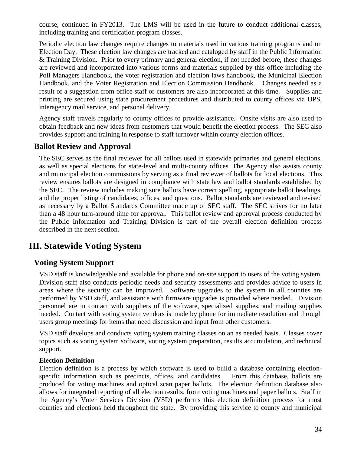course, continued in FY2013. The LMS will be used in the future to conduct additional classes, including training and certification program classes.

Periodic election law changes require changes to materials used in various training programs and on Election Day. These election law changes are tracked and cataloged by staff in the Public Information & Training Division. Prior to every primary and general election, if not needed before, these changes are reviewed and incorporated into various forms and materials supplied by this office including the Poll Managers Handbook, the voter registration and election laws handbook, the Municipal Election Handbook, and the Voter Registration and Election Commission Handbook. Changes needed as a result of a suggestion from office staff or customers are also incorporated at this time. Supplies and printing are secured using state procurement procedures and distributed to county offices via UPS, interagency mail service, and personal delivery.

Agency staff travels regularly to county offices to provide assistance. Onsite visits are also used to obtain feedback and new ideas from customers that would benefit the election process. The SEC also provides support and training in response to staff turnover within county election offices.

# **Ballot Review and Approval**

The SEC serves as the final reviewer for all ballots used in statewide primaries and general elections, as well as special elections for state-level and multi-county offices. The Agency also assists county and municipal election commissions by serving as a final reviewer of ballots for local elections. This review ensures ballots are designed in compliance with state law and ballot standards established by the SEC. The review includes making sure ballots have correct spelling, appropriate ballot headings, and the proper listing of candidates, offices, and questions. Ballot standards are reviewed and revised as necessary by a Ballot Standards Committee made up of SEC staff. The SEC strives for no later than a 48 hour turn-around time for approval. This ballot review and approval process conducted by the Public Information and Training Division is part of the overall election definition process described in the next section.

# **III. Statewide Voting System**

# **Voting System Support**

VSD staff is knowledgeable and available for phone and on-site support to users of the voting system. Division staff also conducts periodic needs and security assessments and provides advice to users in areas where the security can be improved. Software upgrades to the system in all counties are performed by VSD staff, and assistance with firmware upgrades is provided where needed. Division personnel are in contact with suppliers of the software, specialized supplies, and mailing supplies needed. Contact with voting system vendors is made by phone for immediate resolution and through users group meetings for items that need discussion and input from other customers.

VSD staff develops and conducts voting system training classes on an as needed basis. Classes cover topics such as voting system software, voting system preparation, results accumulation, and technical support.

#### **Election Definition**

Election definition is a process by which software is used to build a database containing electionspecific information such as precincts, offices, and candidates. From this database, ballots are produced for voting machines and optical scan paper ballots. The election definition database also allows for integrated reporting of all election results, from voting machines and paper ballots. Staff in the Agency's Voter Services Division (VSD) performs this election definition process for most counties and elections held throughout the state. By providing this service to county and municipal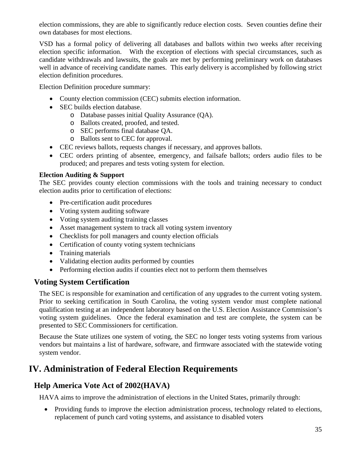election commissions, they are able to significantly reduce election costs. Seven counties define their own databases for most elections.

VSD has a formal policy of delivering all databases and ballots within two weeks after receiving election specific information. With the exception of elections with special circumstances, such as candidate withdrawals and lawsuits, the goals are met by performing preliminary work on databases well in advance of receiving candidate names. This early delivery is accomplished by following strict election definition procedures.

Election Definition procedure summary:

- County election commission (CEC) submits election information.
- SEC builds election database.
	- o Database passes initial Quality Assurance (QA).
	- o Ballots created, proofed, and tested.
	- o SEC performs final database QA.
	- o Ballots sent to CEC for approval.
- CEC reviews ballots, requests changes if necessary, and approves ballots.
- CEC orders printing of absentee, emergency, and failsafe ballots; orders audio files to be produced; and prepares and tests voting system for election.

#### **Election Auditing & Support**

The SEC provides county election commissions with the tools and training necessary to conduct election audits prior to certification of elections:

- Pre-certification audit procedures
- Voting system auditing software
- Voting system auditing training classes
- Asset management system to track all voting system inventory
- Checklists for poll managers and county election officials
- Certification of county voting system technicians
- Training materials
- Validating election audits performed by counties
- Performing election audits if counties elect not to perform them themselves

# **Voting System Certification**

The SEC is responsible for examination and certification of any upgrades to the current voting system. Prior to seeking certification in South Carolina, the voting system vendor must complete national qualification testing at an independent laboratory based on the U.S. Election Assistance Commission's voting system guidelines. Once the federal examination and test are complete, the system can be presented to SEC Commissioners for certification.

Because the State utilizes one system of voting, the SEC no longer tests voting systems from various vendors but maintains a list of hardware, software, and firmware associated with the statewide voting system vendor.

# **IV. Administration of Federal Election Requirements**

# **Help America Vote Act of 2002(HAVA)**

HAVA aims to improve the administration of elections in the United States, primarily through:

• Providing funds to improve the election administration process, technology related to elections, replacement of punch card voting systems, and assistance to disabled voters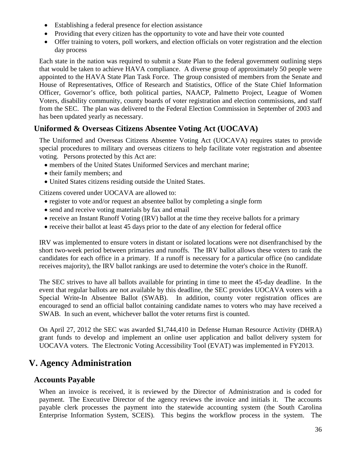- Establishing a federal presence for election assistance
- Providing that every citizen has the opportunity to vote and have their vote counted
- Offer training to voters, poll workers, and election officials on voter registration and the election day process

Each state in the nation was required to submit a State Plan to the federal government outlining steps that would be taken to achieve HAVA compliance. A diverse group of approximately 50 people were appointed to the HAVA State Plan Task Force. The group consisted of members from the Senate and House of Representatives, Office of Research and Statistics, Office of the State Chief Information Officer, Governor's office, both political parties, NAACP, Palmetto Project, League of Women Voters, disability community, county boards of voter registration and election commissions, and staff from the SEC. The plan was delivered to the Federal Election Commission in September of 2003 and has been updated yearly as necessary.

# **Uniformed & Overseas Citizens Absentee Voting Act (UOCAVA)**

The Uniformed and Overseas Citizens Absentee Voting Act (UOCAVA) requires states to provide special procedures to military and overseas citizens to help facilitate voter registration and absentee voting. Persons protected by this Act are:

- members of the United States Uniformed Services and merchant marine;
- their family members; and
- United States citizens residing outside the United States.

Citizens covered under UOCAVA are allowed to:

- register to vote and/or request an absentee ballot by completing a single form
- send and receive voting materials by fax and email
- receive an Instant Runoff Voting (IRV) ballot at the time they receive ballots for a primary
- receive their ballot at least 45 days prior to the date of any election for federal office

IRV was implemented to ensure voters in distant or isolated locations were not disenfranchised by the short two-week period between primaries and runoffs. The IRV ballot allows these voters to rank the candidates for each office in a primary. If a runoff is necessary for a particular office (no candidate receives majority), the IRV ballot rankings are used to determine the voter's choice in the Runoff.

The SEC strives to have all ballots available for printing in time to meet the 45-day deadline. In the event that regular ballots are not available by this deadline, the SEC provides UOCAVA voters with a Special Write-In Absentee Ballot (SWAB). In addition, county voter registration offices are encouraged to send an official ballot containing candidate names to voters who may have received a SWAB. In such an event, whichever ballot the voter returns first is counted.

On April 27, 2012 the SEC was awarded \$1,744,410 in Defense Human Resource Activity (DHRA) grant funds to develop and implement an online user application and ballot delivery system for UOCAVA voters. The Electronic Voting Accessibility Tool (EVAT) was implemented in FY2013.

# **V. Agency Administration**

#### **Accounts Payable**

When an invoice is received, it is reviewed by the Director of Administration and is coded for payment. The Executive Director of the agency reviews the invoice and initials it. The accounts payable clerk processes the payment into the statewide accounting system (the South Carolina Enterprise Information System, SCEIS). This begins the workflow process in the system. The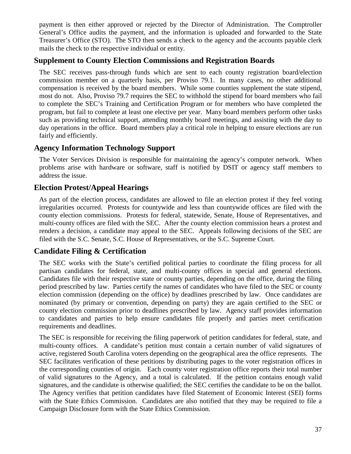payment is then either approved or rejected by the Director of Administration. The Comptroller General's Office audits the payment, and the information is uploaded and forwarded to the State Treasurer's Office (STO). The STO then sends a check to the agency and the accounts payable clerk mails the check to the respective individual or entity.

# **Supplement to County Election Commissions and Registration Boards**

The SEC receives pass-through funds which are sent to each county registration board/election commission member on a quarterly basis, per Proviso 79.1. In many cases, no other additional compensation is received by the board members. While some counties supplement the state stipend, most do not. Also, Proviso 79.7 requires the SEC to withhold the stipend for board members who fail to complete the SEC's Training and Certification Program or for members who have completed the program, but fail to complete at least one elective per year. Many board members perform other tasks such as providing technical support, attending monthly board meetings, and assisting with the day to day operations in the office. Board members play a critical role in helping to ensure elections are run fairly and efficiently.

# **Agency Information Technology Support**

The Voter Services Division is responsible for maintaining the agency's computer network. When problems arise with hardware or software, staff is notified by DSIT or agency staff members to address the issue.

# **Election Protest/Appeal Hearings**

As part of the election process, candidates are allowed to file an election protest if they feel voting irregularities occurred. Protests for countywide and less than countywide offices are filed with the county election commissions. Protests for federal, statewide, Senate, House of Representatives, and multi-county offices are filed with the SEC. After the county election commission hears a protest and renders a decision, a candidate may appeal to the SEC. Appeals following decisions of the SEC are filed with the S.C. Senate, S.C. House of Representatives, or the S.C. Supreme Court.

# **Candidate Filing & Certification**

The SEC works with the State's certified political parties to coordinate the filing process for all partisan candidates for federal, state, and multi-county offices in special and general elections. Candidates file with their respective state or county parties, depending on the office, during the filing period prescribed by law. Parties certify the names of candidates who have filed to the SEC or county election commission (depending on the office) by deadlines prescribed by law. Once candidates are nominated (by primary or convention, depending on party) they are again certified to the SEC or county election commission prior to deadlines prescribed by law. Agency staff provides information to candidates and parties to help ensure candidates file properly and parties meet certification requirements and deadlines.

The SEC is responsible for receiving the filing paperwork of petition candidates for federal, state, and multi-county offices. A candidate's petition must contain a certain number of valid signatures of active, registered South Carolina voters depending on the geographical area the office represents. The SEC facilitates verification of these petitions by distributing pages to the voter registration offices in the corresponding counties of origin. Each county voter registration office reports their total number of valid signatures to the Agency, and a total is calculated. If the petition contains enough valid signatures, and the candidate is otherwise qualified; the SEC certifies the candidate to be on the ballot. The Agency verifies that petition candidates have filed Statement of Economic Interest (SEI) forms with the State Ethics Commission. Candidates are also notified that they may be required to file a Campaign Disclosure form with the State Ethics Commission.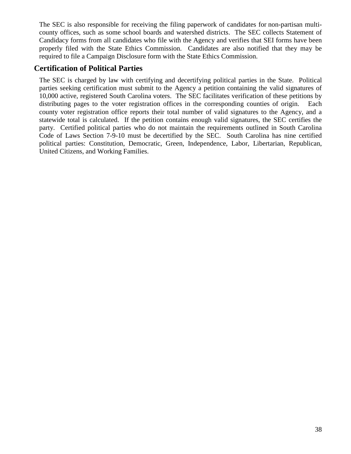The SEC is also responsible for receiving the filing paperwork of candidates for non-partisan multicounty offices, such as some school boards and watershed districts. The SEC collects Statement of Candidacy forms from all candidates who file with the Agency and verifies that SEI forms have been properly filed with the State Ethics Commission. Candidates are also notified that they may be required to file a Campaign Disclosure form with the State Ethics Commission.

# **Certification of Political Parties**

The SEC is charged by law with certifying and decertifying political parties in the State. Political parties seeking certification must submit to the Agency a petition containing the valid signatures of 10,000 active, registered South Carolina voters. The SEC facilitates verification of these petitions by distributing pages to the voter registration offices in the corresponding counties of origin. Each county voter registration office reports their total number of valid signatures to the Agency, and a statewide total is calculated. If the petition contains enough valid signatures, the SEC certifies the party. Certified political parties who do not maintain the requirements outlined in South Carolina Code of Laws Section 7-9-10 must be decertified by the SEC. South Carolina has nine certified political parties: Constitution, Democratic, Green, Independence, Labor, Libertarian, Republican, United Citizens, and Working Families.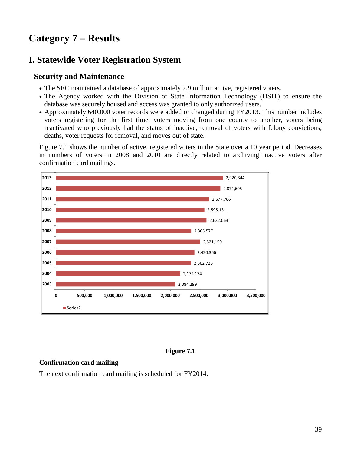# **Category 7 – Results**

# **I. Statewide Voter Registration System**

#### **Security and Maintenance**

- The SEC maintained a database of approximately 2.9 million active, registered voters.
- The Agency worked with the Division of State Information Technology (DSIT) to ensure the database was securely housed and access was granted to only authorized users.
- Approximately 640,000 voter records were added or changed during FY2013. This number includes voters registering for the first time, voters moving from one county to another, voters being reactivated who previously had the status of inactive, removal of voters with felony convictions, deaths, voter requests for removal, and moves out of state.

Figure 7.1 shows the number of active, registered voters in the State over a 10 year period. Decreases in numbers of voters in 2008 and 2010 are directly related to archiving inactive voters after confirmation card mailings.



#### **Figure 7.1**

#### **Confirmation card mailing**

The next confirmation card mailing is scheduled for FY2014.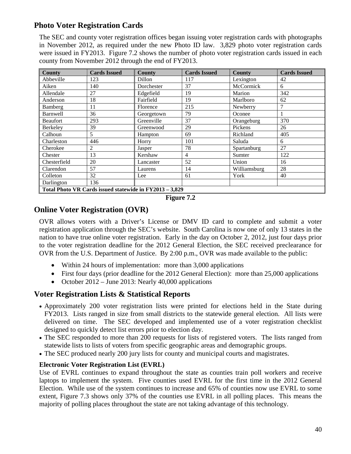# **Photo Voter Registration Cards**

The SEC and county voter registration offices began issuing voter registration cards with photographs in November 2012, as required under the new Photo ID law. 3,829 photo voter registration cards were issued in FY2013. Figure 7.2 shows the number of photo voter registration cards issued in each county from November 2012 through the end of FY2013.

| <b>County</b>                                           | <b>Cards Issued</b> | <b>County</b> | <b>Cards Issued</b> | <b>County</b> | <b>Cards Issued</b> |  |  |  |
|---------------------------------------------------------|---------------------|---------------|---------------------|---------------|---------------------|--|--|--|
| Abbeville                                               | 123                 | Dillon        | 117                 | Lexington     | 42                  |  |  |  |
| Aiken                                                   | 140                 | Dorchester    | 37                  | McCormick     | 6                   |  |  |  |
| Allendale                                               | 27                  | Edgefield     | 19                  | Marion        | 342                 |  |  |  |
| Anderson                                                | 18                  | Fairfield     | 19                  | Marlboro      | 62                  |  |  |  |
| Bamberg                                                 | 11                  | Florence      | 215                 | Newberry      | 7                   |  |  |  |
| <b>Barnwell</b>                                         | 36                  | Georgetown    | 79                  | Oconee        |                     |  |  |  |
| Beaufort                                                | 293                 | Greenville    | 37                  | Orangeburg    | 370                 |  |  |  |
| Berkeley                                                | 39                  | Greenwood     | 29                  | Pickens       | 26                  |  |  |  |
| Calhoun                                                 | 5                   | Hampton       | 69                  | Richland      | 405                 |  |  |  |
| Charleston                                              | 446                 | Horry         | 101                 | Saluda        | 6                   |  |  |  |
| Cherokee                                                | $\overline{2}$      | Jasper        | 78                  | Spartanburg   | 27                  |  |  |  |
| Chester                                                 | 13                  | Kershaw       | 4                   | Sumter        | 122                 |  |  |  |
| Chesterfield                                            | 20                  | Lancaster     | 52                  | Union         | 16                  |  |  |  |
| Clarendon                                               | 57                  | Laurens       | 14                  | Williamsburg  | 28                  |  |  |  |
| Colleton                                                | 32                  | Lee           | 61                  | York          | 40                  |  |  |  |
| Darlington                                              | 136                 |               |                     |               |                     |  |  |  |
| Total Photo VR Cards issued statewide in FY2013 - 3,829 |                     |               |                     |               |                     |  |  |  |



# **Online Voter Registration (OVR)**

OVR allows voters with a Driver's License or DMV ID card to complete and submit a voter registration application through the SEC's website. South Carolina is now one of only 13 states in the nation to have true online voter registration. Early in the day on October 2, 2012, just four days prior to the voter registration deadline for the 2012 General Election, the SEC received preclearance for OVR from the U.S. Department of Justice. By 2:00 p.m., OVR was made available to the public:

- Within 24 hours of implementation: more than 3,000 applications
- First four days (prior deadline for the 2012 General Election): more than 25,000 applications
- October 2012 June 2013: Nearly 40,000 applications

# **Voter Registration Lists & Statistical Reports**

- Approximately 200 voter registration lists were printed for elections held in the State during FY2013. Lists ranged in size from small districts to the statewide general election. All lists were delivered on time. The SEC developed and implemented use of a voter registration checklist designed to quickly detect list errors prior to election day.
- The SEC responded to more than 200 requests for lists of registered voters. The lists ranged from statewide lists to lists of voters from specific geographic areas and demographic groups.
- The SEC produced nearly 200 jury lists for county and municipal courts and magistrates.

#### **Electronic Voter Registration List (EVRL)**

Use of EVRL continues to expand throughout the state as counties train poll workers and receive laptops to implement the system. Five counties used EVRL for the first time in the 2012 General Election. While use of the system continues to increase and 65% of counties now use EVRL to some extent, Figure 7.3 shows only 37% of the counties use EVRL in all polling places. This means the majority of polling places throughout the state are not taking advantage of this technology.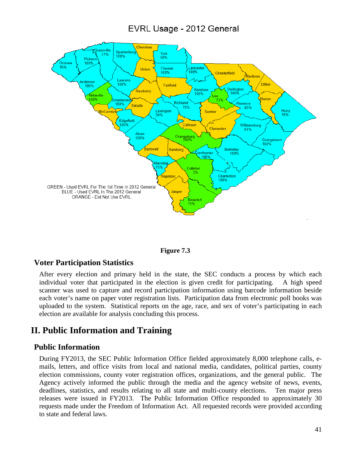# EVRL Usage - 2012 General





#### **Voter Participation Statistics**

After every election and primary held in the state, the SEC conducts a process by which each individual voter that participated in the election is given credit for participating. A high speed scanner was used to capture and record participation information using barcode information beside each voter's name on paper voter registration lists. Participation data from electronic poll books was uploaded to the system. Statistical reports on the age, race, and sex of voter's participating in each election are available for analysis concluding this process.

# **II. Public Information and Training**

#### **Public Information**

During FY2013, the SEC Public Information Office fielded approximately 8,000 telephone calls, emails, letters, and office visits from local and national media, candidates, political parties, county election commissions, county voter registration offices, organizations, and the general public. The Agency actively informed the public through the media and the agency website of news, events, deadlines, statistics, and results relating to all state and multi-county elections. Ten major press releases were issued in FY2013. The Public Information Office responded to approximately 30 requests made under the Freedom of Information Act. All requested records were provided according to state and federal laws.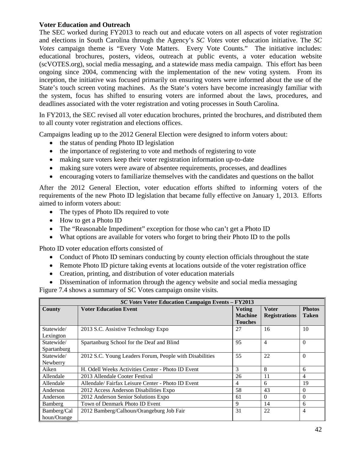#### **Voter Education and Outreach**

The SEC worked during FY2013 to reach out and educate voters on all aspects of voter registration and elections in South Carolina through the Agency's *SC Votes* voter education initiative. The *SC Votes* campaign theme is "Every Vote Matters. Every Vote Counts." The initiative includes: educational brochures, posters, videos, outreach at public events, a voter education website (scVOTES.org), social media messaging, and a statewide mass media campaign. This effort has been ongoing since 2004, commencing with the implementation of the new voting system. From its inception, the initiative was focused primarily on ensuring voters were informed about the use of the State's touch screen voting machines. As the State's voters have become increasingly familiar with the system, focus has shifted to ensuring voters are informed about the laws, procedures, and deadlines associated with the voter registration and voting processes in South Carolina.

In FY2013, the SEC revised all voter education brochures, printed the brochures, and distributed them to all county voter registration and elections offices.

Campaigns leading up to the 2012 General Election were designed to inform voters about:

- the status of pending Photo ID legislation
- the importance of registering to vote and methods of registering to vote
- making sure voters keep their voter registration information up-to-date
- making sure voters were aware of absentee requirements, processes, and deadlines
- encouraging voters to familiarize themselves with the candidates and questions on the ballot

After the 2012 General Election, voter education efforts shifted to informing voters of the requirements of the new Photo ID legislation that became fully effective on January 1, 2013. Efforts aimed to inform voters about:

- The types of Photo IDs required to vote
- How to get a Photo ID
- The "Reasonable Impediment" exception for those who can't get a Photo ID
- What options are available for voters who forget to bring their Photo ID to the polls

Photo ID voter education efforts consisted of

- Conduct of Photo ID seminars conducting by county election officials throughout the state
- Remote Photo ID picture taking events at locations outside of the voter registration office
- Creation, printing, and distribution of voter education materials
- Dissemination of information through the agency website and social media messaging

Figure 7.4 shows a summary of SC Votes campaign onsite visits.

| <b>SC Votes Voter Education Campaign Events - FY2013</b> |                                                         |                |                      |               |  |  |  |
|----------------------------------------------------------|---------------------------------------------------------|----------------|----------------------|---------------|--|--|--|
| County                                                   | <b>Voter Education Event</b>                            | <b>Voting</b>  | <b>Voter</b>         | <b>Photos</b> |  |  |  |
|                                                          |                                                         | <b>Machine</b> | <b>Registrations</b> | <b>Taken</b>  |  |  |  |
|                                                          |                                                         | Touches        |                      |               |  |  |  |
| Statewide/                                               | 2013 S.C. Assistive Technology Expo                     | 27             | 16                   | 10            |  |  |  |
| Lexington                                                |                                                         |                |                      |               |  |  |  |
| Statewide/                                               | Spartanburg School for the Deaf and Blind               | 95             | $\overline{4}$       | $\Omega$      |  |  |  |
| Spartanburg                                              |                                                         |                |                      |               |  |  |  |
| Statewide/                                               | 2012 S.C. Young Leaders Forum, People with Disabilities | 55             | 22                   | $\Omega$      |  |  |  |
| Newberry                                                 |                                                         |                |                      |               |  |  |  |
| Aiken                                                    | H. Odell Weeks Activities Center - Photo ID Event       | 3              | 8                    | 6             |  |  |  |
| Allendale                                                | 2013 Allendale Cooter Festival                          | 26             | 11                   | 4             |  |  |  |
| Allendale                                                | Allendale/Fairfax Leisure Center - Photo ID Event       | 4              | 6                    | 19            |  |  |  |
| Anderson                                                 | 2012 Access Anderson Disabilities Expo                  | 58             | 43                   | $\Omega$      |  |  |  |
| Anderson                                                 | 2012 Anderson Senior Solutions Expo                     | 61             | $\Omega$             | $\Omega$      |  |  |  |
| Bamberg                                                  | Town of Denmark Photo ID Event                          | 9              | 14                   | 6             |  |  |  |
| Bamberg/Cal                                              | 2012 Bamberg/Calhoun/Orangeburg Job Fair                | 31             | 22                   | 4             |  |  |  |
| houn/Orange                                              |                                                         |                |                      |               |  |  |  |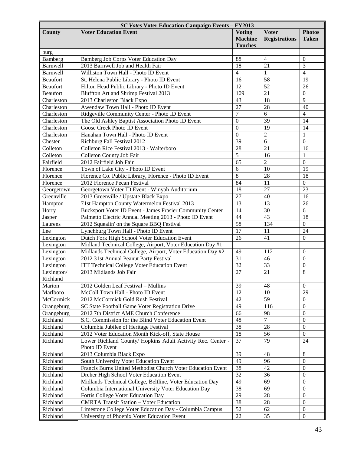| SC Votes Voter Education Campaign Events - FY2013 |                                                             |                                                   |                                      |                               |  |  |
|---------------------------------------------------|-------------------------------------------------------------|---------------------------------------------------|--------------------------------------|-------------------------------|--|--|
| County                                            | <b>Voter Education Event</b>                                | <b>Voting</b><br><b>Machine</b><br><b>Touches</b> | <b>Voter</b><br><b>Registrations</b> | <b>Photos</b><br><b>Taken</b> |  |  |
| burg                                              |                                                             |                                                   |                                      |                               |  |  |
| Bamberg                                           | Bamberg Job Corps Voter Education Day                       | 88                                                | $\overline{4}$                       | $\mathbf{0}$                  |  |  |
| <b>Barnwell</b>                                   | 2013 Barnwell Job and Health Fair                           | 18                                                | 21                                   | 3                             |  |  |
| Barnwell                                          | Williston Town Hall - Photo ID Event                        | 4                                                 | 1                                    | $\overline{4}$                |  |  |
| <b>Beaufort</b>                                   | St. Helena Public Library - Photo ID Event                  | 16                                                | 58                                   | 19                            |  |  |
| <b>Beaufort</b>                                   | Hilton Head Public Library - Photo ID Event                 | $\overline{12}$                                   | $\overline{52}$                      | 26                            |  |  |
| <b>Beaufort</b>                                   | Bluffton Art and Shrimp Festival 2013                       | 109                                               | 21                                   | $\mathbf{0}$                  |  |  |
| Charleston                                        | 2013 Charleston Black Expo                                  | 43                                                | 18                                   | 9                             |  |  |
| Charleston                                        | Awendaw Town Hall - Photo ID Event                          | $\overline{27}$                                   | 28                                   | 40                            |  |  |
| Charleston                                        | Ridgeville Community Center - Photo ID Event                | $\overline{7}$                                    | 6                                    | $\overline{4}$                |  |  |
| Charleston                                        | The Old Ashley Baptist Association Photo ID Event           | $\boldsymbol{0}$                                  | 39                                   | 14                            |  |  |
| Charleston                                        | Goose Creek Photo ID Event                                  | $\theta$                                          | 19                                   | 14                            |  |  |
| Charleston                                        | Hanahan Town Hall - Photo ID Event                          | $\overline{0}$                                    | $\overline{2}$                       | $\mathbf{1}$                  |  |  |
| Chester                                           | Richburg Fall Festival 2012                                 | 39                                                | 6                                    | $\overline{0}$                |  |  |
| Colleton                                          | Colleton Rice Festival 2013 - Walterboro                    | $\overline{28}$                                   | 21                                   | 16                            |  |  |
| Colleton                                          | Colleton County Job Fair                                    | 5                                                 | 16                                   | $\mathbf{1}$                  |  |  |
| Fairfield                                         | 2012 Fairfield Job Fair                                     | 65                                                | $\overline{2}$                       | $\overline{0}$                |  |  |
| Florence                                          | Town of Lake City - Photo ID Event                          | 6                                                 | 10                                   | 19                            |  |  |
| Florence                                          | Florence Co. Public Library, Florence - Photo ID Event      | 8                                                 | 28                                   | 18                            |  |  |
| Florence                                          | 2012 Florence Pecan Festival                                | 84                                                | 11                                   | $\mathbf{0}$                  |  |  |
| Georgetown                                        | Georgetown Voter ID Event - Winyah Auditorium               | 18                                                | $\overline{27}$                      | 23                            |  |  |
| Greenville                                        | 2013 Greenville / Upstate Black Expo                        | $\overline{27}$                                   | 40                                   | 16                            |  |  |
| Hampton                                           | 71st Hampton County Watermelon Festival 2013                | 13                                                | 13                                   | 26                            |  |  |
| Horry                                             | Bucksport Voter ID Event - James Frasier Community Center   | 14                                                | 30                                   | 6                             |  |  |
| Jasper                                            | Palmetto Electric Annual Meeting 2013 - Photo ID Event      | 44                                                | 43                                   | 18                            |  |  |
| Laurens                                           | 2012 Squealin' on the Square BBQ Festival                   | $\overline{58}$                                   | 134                                  | $\mathbf{0}$                  |  |  |
| Lee                                               | Lynchburg Town Hall - Photo ID Event                        | 17                                                | 11                                   | 24                            |  |  |
| Lexington                                         | Dutch Fork High School Voter Education Event                | 26                                                | 41                                   | $\boldsymbol{0}$              |  |  |
| Lexington                                         | Midland Technical College, Airport, Voter Education Day #1  |                                                   |                                      |                               |  |  |
| Lexington                                         | Midlands Technical College, Airport, Voter Education Day #2 | 49                                                | 112                                  | $\overline{0}$                |  |  |
| Lexington                                         | 2012 31st Annual Peanut Party Festival                      | 31                                                | 46                                   | $\overline{0}$                |  |  |
| Lexington                                         | <b>ITT Technical College Voter Education Event</b>          | $\overline{32}$                                   | 33                                   | $\boldsymbol{0}$              |  |  |
| Lexington/                                        | 2013 Midlands Job Fair                                      | 27                                                | 21                                   | 8                             |  |  |
| Richland                                          |                                                             |                                                   |                                      |                               |  |  |
| Marion                                            | 2012 Golden Leaf Festival - Mullins                         | 39                                                | 48                                   | $\Omega$                      |  |  |
| Marlboro                                          | McColl Town Hall - Photo ID Event                           | 12                                                | 10                                   | 29                            |  |  |
| McCormick                                         | 2012 McCormick Gold Rush Festival                           | 42                                                | 59                                   | $\Omega$                      |  |  |
| Orangeburg                                        | SC State Football Game Voter Registration Drive             | 49                                                | 116                                  | $\Omega$                      |  |  |
| Orangeburg                                        | 2012 7th District AME Church Conference                     | 66                                                | 98                                   | $\Omega$                      |  |  |
| Richland                                          | S.C. Commission for the Blind Voter Education Event         | 48                                                | $\overline{7}$                       | $\overline{0}$                |  |  |
| Richland                                          | Columbia Jubilee of Heritage Festival                       | $\overline{38}$                                   | 28                                   | $\Omega$                      |  |  |
| Richland                                          | 2012 Voter Education Month Kick-off, State House            | 18                                                | 56                                   | $\Omega$                      |  |  |
| Richland                                          | Lower Richland County/ Hopkins Adult Activity Rec. Center - | 37                                                | 79                                   | 24                            |  |  |
|                                                   | Photo ID Event                                              |                                                   |                                      |                               |  |  |
| Richland                                          | 2013 Columbia Black Expo                                    | 39                                                | 48                                   | 8                             |  |  |
| Richland                                          | South University Voter Education Event                      | 49                                                | 96                                   | $\Omega$                      |  |  |
| Richland                                          | Francis Burns United Methodist Church Voter Education Event | 38                                                | 42                                   | $\overline{0}$                |  |  |
| Richland                                          | Dreher High School Voter Education Event                    | 32                                                | 36                                   | $\overline{0}$                |  |  |
| Richland                                          | Midlands Technical College, Beltline, Voter Education Day   | 49                                                | 69                                   | $\Omega$                      |  |  |
| Richland                                          | Columbia International University Voter Education Day       | 38                                                | 69                                   | $\overline{0}$                |  |  |
| Richland                                          | Fortis College Voter Education Day                          | 29                                                | 28                                   | $\overline{0}$                |  |  |
| Richland                                          | <b>CMRTA Transit Station - Voter Education</b>              | 38                                                | 28                                   | $\Omega$                      |  |  |
| Richland                                          | Limestone College Voter Education Day - Columbia Campus     | 52                                                | 62                                   | $\theta$                      |  |  |
| Richland                                          | University of Phoenix Voter Education Event                 | 22                                                | 35                                   | $\theta$                      |  |  |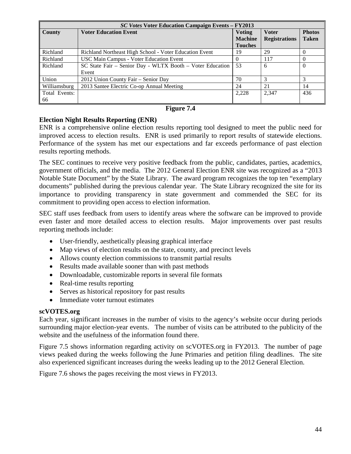|               | <b>SC Votes Voter Education Campaign Events - FY2013</b>  |                |                      |               |  |  |  |
|---------------|-----------------------------------------------------------|----------------|----------------------|---------------|--|--|--|
| <b>County</b> | <b>Voter Education Event</b>                              | <b>Voting</b>  | <b>Voter</b>         | <b>Photos</b> |  |  |  |
|               |                                                           | <b>Machine</b> | <b>Registrations</b> | <b>Taken</b>  |  |  |  |
|               |                                                           | <b>Touches</b> |                      |               |  |  |  |
| Richland      | Richland Northeast High School - Voter Education Event    | 19             | 29                   | $\theta$      |  |  |  |
| Richland      | <b>USC Main Campus - Voter Education Event</b>            | $\theta$       | 117                  | $\theta$      |  |  |  |
| Richland      | SC State Fair - Senior Day - WLTX Booth - Voter Education | 53             | 6                    | $\theta$      |  |  |  |
|               | Event                                                     |                |                      |               |  |  |  |
| Union         | 2012 Union County Fair – Senior Day                       | 70             |                      |               |  |  |  |
| Williamsburg  | 2013 Santee Electric Co-op Annual Meeting                 | 24             | 21                   | 14            |  |  |  |
| Total Events: |                                                           | 2,228          | 2,347                | 436           |  |  |  |
| 66            |                                                           |                |                      |               |  |  |  |

#### **Figure 7.4**

#### **Election Night Results Reporting (ENR)**

ENR is a comprehensive online election results reporting tool designed to meet the public need for improved access to election results. ENR is used primarily to report results of statewide elections. Performance of the system has met our expectations and far exceeds performance of past election results reporting methods.

The SEC continues to receive very positive feedback from the public, candidates, parties, academics, government officials, and the media. The 2012 General Election ENR site was recognized as a "2013 Notable State Document" by the State Library. The award program recognizes the top ten "exemplary documents" published during the previous calendar year. The State Library recognized the site for its importance to providing transparency in state government and commended the SEC for its commitment to providing open access to election information.

SEC staff uses feedback from users to identify areas where the software can be improved to provide even faster and more detailed access to election results. Major improvements over past results reporting methods include:

- User-friendly, aesthetically pleasing graphical interface
- Map views of election results on the state, county, and precinct levels
- Allows county election commissions to transmit partial results
- Results made available sooner than with past methods
- Downloadable, customizable reports in several file formats
- Real-time results reporting
- Serves as historical repository for past results
- Immediate voter turnout estimates

#### **scVOTES.org**

Each year, significant increases in the number of visits to the agency's website occur during periods surrounding major election-year events. The number of visits can be attributed to the publicity of the website and the usefulness of the information found there.

Figure 7.5 shows information regarding activity on scVOTES.org in FY2013. The number of page views peaked during the weeks following the June Primaries and petition filing deadlines. The site also experienced significant increases during the weeks leading up to the 2012 General Election.

Figure 7.6 shows the pages receiving the most views in FY2013.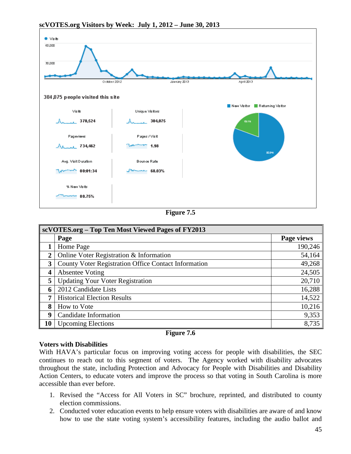

**scVOTES.org Visitors by Week: July 1, 2012 – June 30, 2013**

**Figure 7.5**

|                         | scVOTES.org – Top Ten Most Viewed Pages of FY2013           |            |  |  |  |  |
|-------------------------|-------------------------------------------------------------|------------|--|--|--|--|
|                         | Page                                                        | Page views |  |  |  |  |
|                         | Home Page                                                   | 190,246    |  |  |  |  |
| $\overline{2}$          | Online Voter Registration & Information                     | 54,164     |  |  |  |  |
| 3                       | <b>County Voter Registration Office Contact Information</b> | 49,268     |  |  |  |  |
| $\overline{\mathbf{4}}$ | <b>Absentee Voting</b>                                      | 24,505     |  |  |  |  |
| 5                       | <b>Updating Your Voter Registration</b>                     | 20,710     |  |  |  |  |
| 6                       | 2012 Candidate Lists                                        | 16,288     |  |  |  |  |
| 7                       | <b>Historical Election Results</b>                          | 14,522     |  |  |  |  |
| 8                       | How to Vote                                                 | 10,216     |  |  |  |  |
| 9                       | Candidate Information                                       | 9,353      |  |  |  |  |
| 10                      | <b>Upcoming Elections</b>                                   | 8,735      |  |  |  |  |

#### **Figure 7.6**

#### **Voters with Disabilities**

With HAVA's particular focus on improving voting access for people with disabilities, the SEC continues to reach out to this segment of voters. The Agency worked with disability advocates throughout the state, including Protection and Advocacy for People with Disabilities and Disability Action Centers, to educate voters and improve the process so that voting in South Carolina is more accessible than ever before.

- 1. Revised the "Access for All Voters in SC" brochure, reprinted, and distributed to county election commissions.
- 2. Conducted voter education events to help ensure voters with disabilities are aware of and know how to use the state voting system's accessibility features, including the audio ballot and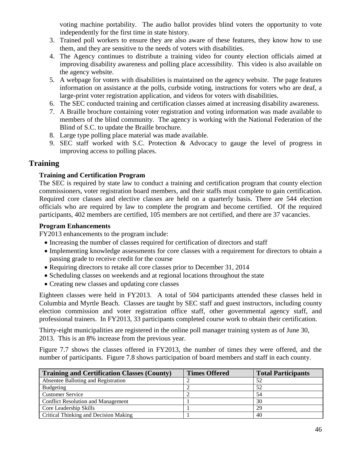voting machine portability. The audio ballot provides blind voters the opportunity to vote independently for the first time in state history.

- 3. Trained poll workers to ensure they are also aware of these features, they know how to use them, and they are sensitive to the needs of voters with disabilities.
- 4. The Agency continues to distribute a training video for county election officials aimed at improving disability awareness and polling place accessibility. This video is also available on the agency website.
- 5. A webpage for voters with disabilities is maintained on the agency website. The page features information on assistance at the polls, curbside voting, instructions for voters who are deaf, a large-print voter registration application, and videos for voters with disabilities.
- 6. The SEC conducted training and certification classes aimed at increasing disability awareness.
- 7. A Braille brochure containing voter registration and voting information was made available to members of the blind community. The agency is working with the National Federation of the Blind of S.C. to update the Braille brochure.
- 8. Large type polling place material was made available.
- 9. SEC staff worked with S.C. Protection & Advocacy to gauge the level of progress in improving access to polling places.

# **Training**

#### **Training and Certification Program**

The SEC is required by state law to conduct a training and certification program that county election commissioners, voter registration board members, and their staffs must complete to gain certification. Required core classes and elective classes are held on a quarterly basis. There are 544 election officials who are required by law to complete the program and become certified. Of the required participants, 402 members are certified, 105 members are not certified, and there are 37 vacancies.

#### **Program Enhancements**

FY2013 enhancements to the program include:

- Increasing the number of classes required for certification of directors and staff
- Implementing knowledge assessments for core classes with a requirement for directors to obtain a passing grade to receive credit for the course
- Requiring directors to retake all core classes prior to December 31, 2014
- Scheduling classes on weekends and at regional locations throughout the state
- Creating new classes and updating core classes

Eighteen classes were held in FY2013. A total of 504 participants attended these classes held in Columbia and Myrtle Beach. Classes are taught by SEC staff and guest instructors, including county election commission and voter registration office staff, other governmental agency staff, and professional trainers. In FY2013, 33 participants completed course work to obtain their certification.

Thirty-eight municipalities are registered in the online poll manager training system as of June 30, 2013. This is an 8% increase from the previous year.

Figure 7.7 shows the classes offered in FY2013, the number of times they were offered, and the number of participants. Figure 7.8 shows participation of board members and staff in each county.

| Training and Certification Classes (County) | <b>Times Offered</b> | <b>Total Participants</b> |
|---------------------------------------------|----------------------|---------------------------|
| Absentee Balloting and Registration         |                      | .52                       |
| Budgeting                                   |                      | 52                        |
| <b>Customer Service</b>                     |                      |                           |
| <b>Conflict Resolution and Management</b>   |                      | 30                        |
| Core Leadership Skills                      |                      | 29                        |
| Critical Thinking and Decision Making       |                      | 40                        |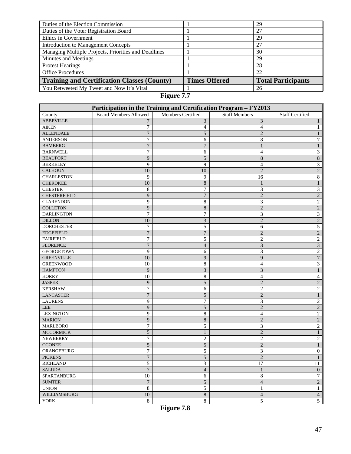| Duties of the Election Commission                    |                      | 29                        |
|------------------------------------------------------|----------------------|---------------------------|
| Duties of the Voter Registration Board               |                      | 27                        |
| Ethics in Government                                 |                      | 29                        |
| <b>Introduction to Management Concepts</b>           |                      | 27                        |
| Managing Multiple Projects, Priorities and Deadlines |                      | 30                        |
| Minutes and Meetings                                 |                      | 29                        |
| <b>Protest Hearings</b>                              |                      | 28                        |
| <b>Office Procedures</b>                             |                      | 22                        |
| Training and Certification Classes (County)          | <b>Times Offered</b> | <b>Total Participants</b> |
| You Retweeted My Tweet and Now It's Viral            |                      | 26                        |

# **Figure 7.7**

| Participation in the Training and Certification Program - FY2013 |                              |                   |                      |                         |  |  |  |
|------------------------------------------------------------------|------------------------------|-------------------|----------------------|-------------------------|--|--|--|
| County                                                           | <b>Board Members Allowed</b> | Members Certified | <b>Staff Members</b> | <b>Staff Certified</b>  |  |  |  |
| <b>ABBEVILLE</b>                                                 | 7                            | 3                 | 3                    |                         |  |  |  |
| <b>AIKEN</b>                                                     | 7                            | $\overline{4}$    | $\overline{4}$       | 1                       |  |  |  |
| <b>ALLENDALE</b>                                                 | $\overline{7}$               | 5                 | $\overline{2}$       |                         |  |  |  |
| <b>ANDERSON</b>                                                  | $\overline{7}$               | 6                 | 8                    | 7                       |  |  |  |
| <b>BAMBERG</b>                                                   | $\boldsymbol{7}$             | $\boldsymbol{7}$  | $\mathbf{1}$         | $\mathbf{1}$            |  |  |  |
| <b>BARNWELL</b>                                                  | 7                            | 6                 | $\overline{4}$       | 3                       |  |  |  |
| <b>BEAUFORT</b>                                                  | 9                            | 5                 | 8                    | $\,8\,$                 |  |  |  |
| <b>BERKELEY</b>                                                  | 9                            | 9                 | $\overline{4}$       | 3                       |  |  |  |
| <b>CALHOUN</b>                                                   | 10                           | 10                | $\overline{2}$       | $\overline{c}$          |  |  |  |
| <b>CHARLESTON</b>                                                | 9                            | 9                 | 16                   | $\,8\,$                 |  |  |  |
| <b>CHEROKEE</b>                                                  | 10                           | $\,$ 8 $\,$       | $\mathbf{1}$         | $\mathbf{1}$            |  |  |  |
| <b>CHESTER</b>                                                   | 8                            | 7                 | 3                    | $\mathfrak{Z}$          |  |  |  |
| <b>CHESTERFIELD</b>                                              | 9                            | $\overline{7}$    | $\overline{2}$       | $\overline{c}$          |  |  |  |
| <b>CLARENDON</b>                                                 | 9                            | 8                 | 3                    | $\sqrt{2}$              |  |  |  |
| <b>COLLETON</b>                                                  | $\overline{9}$               | 8                 | $\overline{c}$       | $\overline{c}$          |  |  |  |
| <b>DARLINGTON</b>                                                | 7                            | 7                 | 3                    | 3                       |  |  |  |
| <b>DILLON</b>                                                    | 10                           | $\mathfrak{Z}$    | $\overline{2}$       | $\overline{2}$          |  |  |  |
| <b>DORCHESTER</b>                                                | 7                            | 5                 | 6                    | 5                       |  |  |  |
| <b>EDGEFIELD</b>                                                 | $\boldsymbol{7}$             | $\overline{7}$    | $\overline{2}$       | $\overline{c}$          |  |  |  |
| <b>FAIRFIELD</b>                                                 | 7                            | 5                 | $\overline{c}$       | $\boldsymbol{2}$        |  |  |  |
| <b>FLORENCE</b>                                                  | $\overline{7}$               | $\overline{4}$    | $\mathfrak{Z}$       | $\overline{\mathbf{3}}$ |  |  |  |
| <b>GEORGETOWN</b>                                                | 9                            | 6                 | 3                    | $\overline{c}$          |  |  |  |
| <b>GREENVILLE</b>                                                | 10                           | 9                 | 9                    | $\overline{7}$          |  |  |  |
| <b>GREENWOOD</b>                                                 | 10                           | 8                 | $\overline{4}$       | 3                       |  |  |  |
| <b>HAMPTON</b>                                                   | 9                            | $\overline{3}$    | 3                    | $\mathbf{1}$            |  |  |  |
| <b>HORRY</b>                                                     | 10                           | $\,8\,$           | $\overline{4}$       | $\overline{4}$          |  |  |  |
| <b>JASPER</b>                                                    | 9                            | $\mathfrak s$     | $\overline{2}$       | $\overline{c}$          |  |  |  |
| <b>KERSHAW</b>                                                   | $\overline{7}$               | 6                 | $\overline{c}$       | $\overline{c}$          |  |  |  |
| <b>LANCASTER</b>                                                 | $\overline{7}$               | 5                 | $\overline{c}$       | $\mathbf{1}$            |  |  |  |
| <b>LAURENS</b>                                                   | 9                            | $\boldsymbol{7}$  | 3                    | $\sqrt{2}$              |  |  |  |
| LEE                                                              | 9                            | 5                 | $\overline{2}$       | $\overline{c}$          |  |  |  |
| <b>LEXINGTON</b>                                                 | 9                            | 8                 | 4                    | $\boldsymbol{2}$        |  |  |  |
| <b>MARION</b>                                                    | 9                            | 8                 | $\overline{c}$       | $\sqrt{2}$              |  |  |  |
| <b>MARLBORO</b>                                                  | $\tau$                       | 5                 | 3                    | $\overline{c}$          |  |  |  |
| <b>MCCORMICK</b>                                                 | $\sqrt{5}$                   | $\mathbf{1}$      | $\overline{2}$       | $\mathbf{1}$            |  |  |  |
| <b>NEWBERRY</b>                                                  | $\overline{7}$               | $\overline{c}$    | $\overline{c}$       | $\overline{c}$          |  |  |  |
| <b>OCONEE</b>                                                    | $\sqrt{5}$                   | $\mathfrak s$     | $\overline{c}$       | $\mathbf{1}$            |  |  |  |
| ORANGEBURG                                                       | 7                            | 5                 | 3                    | $\boldsymbol{0}$        |  |  |  |
| <b>PICKENS</b>                                                   | $\overline{7}$               | 5                 | $\overline{2}$       |                         |  |  |  |
| <b>RICHLAND</b>                                                  | $\sqrt{5}$                   | 3                 | 17                   | 11                      |  |  |  |
| <b>SALUDA</b>                                                    | $\overline{7}$               | $\overline{4}$    | $\mathbf{1}$         | $\overline{0}$          |  |  |  |
| SPARTANBURG                                                      | $10\,$                       | 6                 | $\,8\,$              | $\boldsymbol{7}$        |  |  |  |
| <b>SUMTER</b>                                                    | $\overline{7}$               | $\overline{5}$    | $\overline{4}$       | $\overline{2}$          |  |  |  |
| <b>UNION</b>                                                     | $8\,$                        | $\overline{5}$    | $\mathbf{1}$         | $\mathbf{1}$            |  |  |  |
| WILLIAMSBURG                                                     | $10\,$                       | $\overline{8}$    | $\overline{4}$       | $\overline{4}$          |  |  |  |
| <b>YORK</b>                                                      | $8\,$                        | 8                 | 5                    | $\overline{5}$          |  |  |  |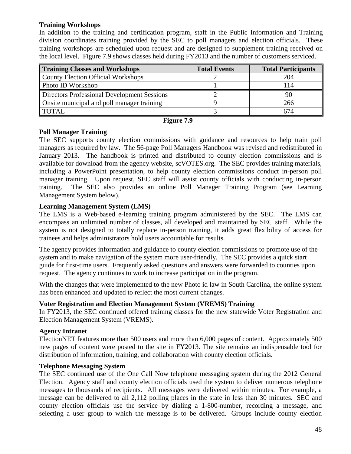#### **Training Workshops**

In addition to the training and certification program, staff in the Public Information and Training division coordinates training provided by the SEC to poll managers and election officials. These training workshops are scheduled upon request and are designed to supplement training received on the local level. Figure 7.9 shows classes held during FY2013 and the number of customers serviced.

| Training Classes and Workshops              | <b>Total Events</b> | <b>Total Participants</b> |
|---------------------------------------------|---------------------|---------------------------|
| County Election Official Workshops          |                     | 204                       |
| Photo ID Workshop                           |                     | 14                        |
| Directors Professional Development Sessions |                     |                           |
| Onsite municipal and poll manager training  |                     | 266                       |
| <b>TOTAL</b>                                |                     | 674                       |

#### **Figure 7.9**

#### **Poll Manager Training**

The SEC supports county election commissions with guidance and resources to help train poll managers as required by law. The 56-page Poll Managers Handbook was revised and redistributed in January 2013. The handbook is printed and distributed to county election commissions and is available for download from the agency website, scVOTES.org. The SEC provides training materials, including a PowerPoint presentation, to help county election commissions conduct in-person poll manager training. Upon request, SEC staff will assist county officials with conducting in-person training. The SEC also provides an online Poll Manager Training Program (see Learning Management System below).

#### **Learning Management System (LMS)**

The LMS is a Web-based e-learning training program administered by the SEC. The LMS can encompass an unlimited number of classes, all developed and maintained by SEC staff. While the system is not designed to totally replace in-person training, it adds great flexibility of access for trainees and helps administrators hold users accountable for results.

The agency provides information and guidance to county election commissions to promote use of the system and to make navigation of the system more user-friendly. The SEC provides a quick start guide for first-time users. Frequently asked questions and answers were forwarded to counties upon request. The agency continues to work to increase participation in the program.

With the changes that were implemented to the new Photo id law in South Carolina, the online system has been enhanced and updated to reflect the most current changes.

#### **Voter Registration and Election Management System (VREMS) Training**

In FY2013, the SEC continued offered training classes for the new statewide Voter Registration and Election Management System (VREMS).

#### **Agency Intranet**

ElectionNET features more than 500 users and more than 6,000 pages of content. Approximately 500 new pages of content were posted to the site in FY2013. The site remains an indispensable tool for distribution of information, training, and collaboration with county election officials.

#### **Telephone Messaging System**

The SEC continued use of the One Call Now telephone messaging system during the 2012 General Election. Agency staff and county election officials used the system to deliver numerous telephone messages to thousands of recipients. All messages were delivered within minutes. For example, a message can be delivered to all 2,112 polling places in the state in less than 30 minutes. SEC and county election officials use the service by dialing a 1-800-number, recording a message, and selecting a user group to which the message is to be delivered. Groups include county election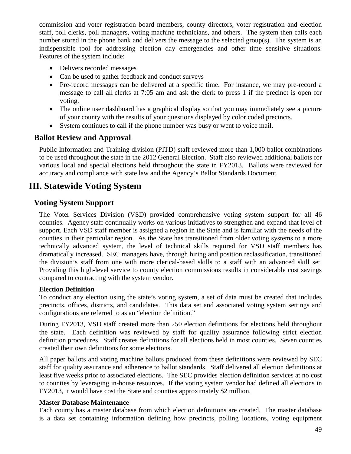commission and voter registration board members, county directors, voter registration and election staff, poll clerks, poll managers, voting machine technicians, and others. The system then calls each number stored in the phone bank and delivers the message to the selected group(s).The system is an indispensible tool for addressing election day emergencies and other time sensitive situations. Features of the system include:

- Delivers recorded messages
- Can be used to gather feedback and conduct surveys
- Pre-record messages can be delivered at a specific time. For instance, we may pre-record a message to call all clerks at 7:05 am and ask the clerk to press 1 if the precinct is open for voting.
- The online user dashboard has a graphical display so that you may immediately see a picture of your county with the results of your questions displayed by color coded precincts.
- System continues to call if the phone number was busy or went to voice mail.

# **Ballot Review and Approval**

Public Information and Training division (PITD) staff reviewed more than 1,000 ballot combinations to be used throughout the state in the 2012 General Election. Staff also reviewed additional ballots for various local and special elections held throughout the state in FY2013. Ballots were reviewed for accuracy and compliance with state law and the Agency's Ballot Standards Document.

# **III. Statewide Voting System**

# **Voting System Support**

The Voter Services Division (VSD) provided comprehensive voting system support for all 46 counties. Agency staff continually works on various initiatives to strengthen and expand that level of support. Each VSD staff member is assigned a region in the State and is familiar with the needs of the counties in their particular region. As the State has transitioned from older voting systems to a more technically advanced system, the level of technical skills required for VSD staff members has dramatically increased. SEC managers have, through hiring and position reclassification, transitioned the division's staff from one with more clerical-based skills to a staff with an advanced skill set. Providing this high-level service to county election commissions results in considerable cost savings compared to contracting with the system vendor.

#### **Election Definition**

To conduct any election using the state's voting system, a set of data must be created that includes precincts, offices, districts, and candidates. This data set and associated voting system settings and configurations are referred to as an "election definition."

During FY2013, VSD staff created more than 250 election definitions for elections held throughout the state. Each definition was reviewed by staff for quality assurance following strict election definition procedures. Staff creates definitions for all elections held in most counties. Seven counties created their own definitions for some elections.

All paper ballots and voting machine ballots produced from these definitions were reviewed by SEC staff for quality assurance and adherence to ballot standards. Staff delivered all election definitions at least five weeks prior to associated elections. The SEC provides election definition services at no cost to counties by leveraging in-house resources. If the voting system vendor had defined all elections in FY2013, it would have cost the State and counties approximately \$2 million.

#### **Master Database Maintenance**

Each county has a master database from which election definitions are created. The master database is a data set containing information defining how precincts, polling locations, voting equipment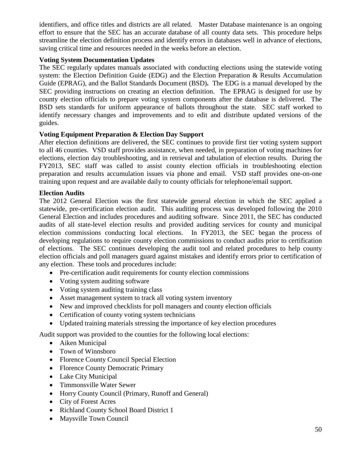identifiers, and office titles and districts are all related. Master Database maintenance is an ongoing effort to ensure that the SEC has an accurate database of all county data sets. This procedure helps streamline the election definition process and identify errors in databases well in advance of elections, saving critical time and resources needed in the weeks before an election.

#### **Voting System Documentation Updates**

The SEC regularly updates manuals associated with conducting elections using the statewide voting system: the Election Definition Guide (EDG) and the Election Preparation & Results Accumulation Guide (EPRAG), and the Ballot Standards Document (BSD)**.** The EDG is a manual developed by the SEC providing instructions on creating an election definition. The EPRAG is designed for use by county election officials to prepare voting system components after the database is delivered. The BSD sets standards for uniform appearance of ballots throughout the state. SEC staff worked to identify necessary changes and improvements and to edit and distribute updated versions of the guides.

#### **Voting Equipment Preparation & Election Day Support**

After election definitions are delivered, the SEC continues to provide first tier voting system support to all 46 counties. VSD staff provides assistance, when needed, in preparation of voting machines for elections, election day troubleshooting, and in retrieval and tabulation of election results. During the FY2013, SEC staff was called to assist county election officials in troubleshooting election preparation and results accumulation issues via phone and email. VSD staff provides one-on-one training upon request and are available daily to county officials for telephone/email support.

#### **Election Audits**

The 2012 General Election was the first statewide general election in which the SEC applied a statewide, pre-certification election audit. This auditing process was developed following the 2010 General Election and includes procedures and auditing software. Since 2011, the SEC has conducted audits of all state-level election results and provided auditing services for county and municipal election commissions conducting local elections. In FY2013, the SEC began the process of developing regulations to require county election commissions to conduct audits prior to certification of elections. The SEC continues developing the audit tool and related procedures to help county election officials and poll managers guard against mistakes and identify errors prior to certification of any election. These tools and procedures include:

- Pre-certification audit requirements for county election commissions
- Voting system auditing software
- Voting system auditing training class
- Asset management system to track all voting system inventory
- New and improved checklists for poll managers and county election officials
- Certification of county voting system technicians
- Updated training materials stressing the importance of key election procedures

Audit support was provided to the counties for the following local elections:

- Aiken Municipal
- Town of Winnsboro
- Florence County Council Special Election
- Florence County Democratic Primary
- Lake City Municipal
- Timmonsville Water Sewer
- Horry County Council (Primary, Runoff and General)
- City of Forest Acres
- Richland County School Board District 1
- Maysville Town Council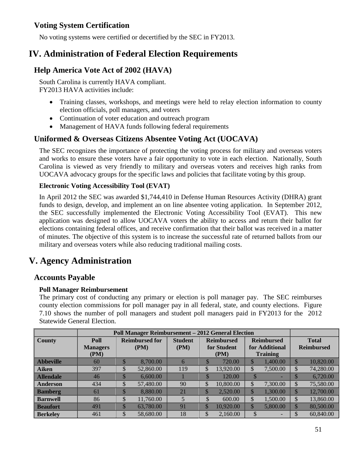# **Voting System Certification**

No voting systems were certified or decertified by the SEC in FY2013.

# **IV. Administration of Federal Election Requirements**

# **Help America Vote Act of 2002 (HAVA)**

South Carolina is currently HAVA compliant. FY2013 HAVA activities include:

- Training classes, workshops, and meetings were held to relay election information to county election officials, poll managers, and voters
- Continuation of voter education and outreach program
- Management of HAVA funds following federal requirements

# **Uniformed & Overseas Citizens Absentee Voting Act (UOCAVA)**

The SEC recognizes the importance of protecting the voting process for military and overseas voters and works to ensure these voters have a fair opportunity to vote in each election. Nationally, South Carolina is viewed as very friendly to military and overseas voters and receives high ranks from UOCAVA advocacy groups for the specific laws and policies that facilitate voting by this group.

#### **Electronic Voting Accessibility Tool (EVAT)**

In April 2012 the SEC was awarded \$1,744,410 in Defense Human Resources Activity (DHRA) grant funds to design, develop, and implement an on line absentee voting application. In September 2012, the SEC successfully implemented the Electronic Voting Accessibility Tool (EVAT). This new application was designed to allow UOCAVA voters the ability to access and return their ballot for elections containing federal offices, and receive confirmation that their ballot was received in a matter of minutes. The objective of this system is to increase the successful rate of returned ballots from our military and overseas voters while also reducing traditional mailing costs.

# **V. Agency Administration**

# **Accounts Payable**

#### **Poll Manager Reimbursement**

The primary cost of conducting any primary or election is poll manager pay. The SEC reimburses county election commissions for poll manager pay in all federal, state, and county elections. Figure 7.10 shows the number of poll managers and student poll managers paid in FY2013 for the 2012 Statewide General Election.

|                  | <b>Poll Manager Reimbursement - 2012 General Election</b> |        |                       |                |              |                   |               |                   |              |                   |
|------------------|-----------------------------------------------------------|--------|-----------------------|----------------|--------------|-------------------|---------------|-------------------|--------------|-------------------|
| <b>County</b>    | Poll                                                      |        | <b>Reimbursed for</b> | <b>Student</b> |              | <b>Reimbursed</b> |               | <b>Reimbursed</b> | <b>Total</b> |                   |
|                  | <b>Managers</b>                                           |        | (PM)                  | (PM)           |              | for Student       |               | for Additional    |              | <b>Reimbursed</b> |
|                  | (PM)                                                      |        |                       |                |              | (PM)              |               | <b>Training</b>   |              |                   |
| <b>Abbeville</b> | 60                                                        | κD     | 8,700.00              | 6              | $\mathbb S$  | 720.00            | \$            | 1,400.00          | \$           | 10,820.00         |
| Aiken            | 397                                                       | \$     | 52,860.00             | 119            | \$           | 13,920.00         | \$            | 7,500.00          | \$           | 74,280.00         |
| <b>Allendale</b> | 46                                                        |        | 6,600.00              |                | $\Phi$<br>ъĐ | 120.00            |               |                   | \$           | 6,720.00          |
| Anderson         | 434                                                       | \$     | 57,480.00             | 90             | \$           | 10,800.00         | \$            | 7,300.00          | \$           | 75,580.00         |
| <b>Bamberg</b>   | 61                                                        | κD     | 8,880.00              | 21             | <sup>S</sup> | 2,520.00          | <sup>\$</sup> | 1,300.00          | $\mathbb{S}$ | 12,700.00         |
| <b>Barnwell</b>  | 86                                                        | Φ<br>D | 11,760.00             | 5              | \$           | 600.00            | \$            | 1,500.00          | \$           | 13,860.00         |
| <b>Beaufort</b>  | 491                                                       | ιD     | 63,780.00             | 91             | \$           | 10,920.00         | \$            | 5,800.00          | \$           | 80,500.00         |
| <b>Berkelev</b>  | 461                                                       | \$     | 58,680.00             | 18             | \$           | 2,160.00          | \$            |                   | \$           | 60,840.00         |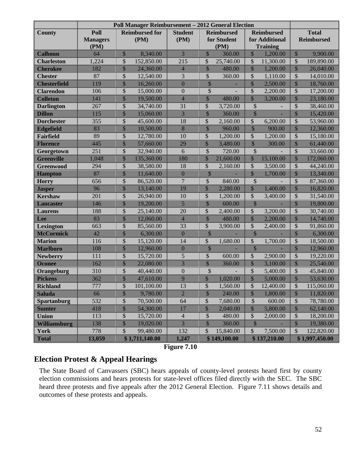|                     |                 | <b>Poll Manager Reimbursement - 2012 General Election</b> |                  |                                        |                                       |                                         |
|---------------------|-----------------|-----------------------------------------------------------|------------------|----------------------------------------|---------------------------------------|-----------------------------------------|
| <b>County</b>       | Poll            | <b>Reimbursed for</b>                                     | <b>Student</b>   | <b>Reimbursed</b>                      | <b>Reimbursed</b>                     | <b>Total</b>                            |
|                     | <b>Managers</b> | (PM)                                                      | (PM)             | for Student                            | for Additional                        | <b>Reimbursed</b>                       |
|                     | (PM)            |                                                           |                  | (PM)                                   | <b>Training</b>                       |                                         |
| <b>Calhoun</b>      | 64              | \$<br>8,340.00                                            | 3                | $\sqrt{\frac{1}{2}}$<br>360.00         | $\sqrt{\ }$<br>1,200.00               | \$<br>9,900.00                          |
| <b>Charleston</b>   | 1,224           | \$<br>152,850.00                                          | 215              | \$<br>25,740.00                        | \$<br>11,300.00                       | \$<br>189,890.00                        |
| <b>Cherokee</b>     | 182             | $\overline{\$}$<br>24,360.00                              | $\overline{4}$   | $\overline{\$}$<br>480.00              | \$<br>1,200.00                        | $\overline{\$}$<br>26,040.00            |
| <b>Chester</b>      | 87              | \$<br>12,540.00                                           | 3                | \$<br>360.00                           | \$<br>1,110.00                        | \$<br>14,010.00                         |
| <b>Chesterfield</b> | 119             | $\overline{\$}$<br>16,260.00                              | $\overline{0}$   | $\overline{\mathbb{S}}$                | $\overline{\$}$<br>2,500.00           | $\overline{\$}$<br>18,760.00            |
| <b>Clarendon</b>    | 106             | \$<br>15,000.00                                           | $\boldsymbol{0}$ | \$                                     | \$<br>2,200.00                        | \$<br>17,200.00                         |
| <b>Colleton</b>     | 141             | $\overline{\$}$<br>19,500.00                              | $\overline{4}$   | $\overline{\$}$<br>480.00              | $\overline{\$}$<br>3,200.00           | $\overline{\$}$<br>23,180.00            |
| <b>Darlington</b>   | 267             | \$<br>34,740.00                                           | 31               | \$<br>3,720.00                         | \$                                    | \$<br>38,460.00                         |
| <b>Dillon</b>       | 115             | $\overline{\$}$<br>15,060.00                              | 3                | \$<br>360.00                           | $\overline{\$}$                       | $\overline{\$}$<br>15,420.00            |
| <b>Dorchester</b>   | 355             | $\mathsf{\$}$<br>45,600.00                                | 18               | \$<br>2,160.00                         | \$<br>6,200.00                        | \$<br>53,960.00                         |
| <b>Edgefield</b>    | 83              | $\overline{\$}$<br>10,500.00                              | 8                | $\overline{\$}$<br>960.00              | $\overline{\$}$<br>900.00             | $\overline{\$}$<br>12,360.00            |
| <b>Fairfield</b>    | 89              | \$<br>12,780.00                                           | 10               | \$<br>1,200.00                         | \$<br>1,200.00                        | \$<br>15,180.00                         |
| <b>Florence</b>     | 445             | $\overline{\$}$<br>57,660.00                              | 29               | $\overline{\$}$<br>3,480.00            | $\overline{\$}$<br>300.00             | $\overline{\$}$<br>61,440.00            |
| Georgetown          | 251             | \$<br>32,940.00                                           | 6                | \$<br>720.00                           | \$                                    | \$<br>33,660.00                         |
| <b>Greenville</b>   | 1,048           | $\frac{1}{2}$<br>135,360.00                               | 180              | $\sqrt$<br>21,600.00                   | \$<br>15,100.00                       | $\sqrt$<br>172,060.00                   |
| <b>Greenwood</b>    | 294             | \$<br>38,580.00                                           | 18               | \$<br>2,160.00                         | \$<br>3,500.00                        | \$<br>44,240.00                         |
| <b>Hampton</b>      | 87              | $\overline{\$}$<br>11,640.00                              | $\overline{0}$   | $\overline{\$}$                        | $\overline{\mathbb{S}}$<br>1,700.00   | $\overline{\$}$<br>13,340.00            |
| <b>Horry</b>        | 656             | \$<br>86,520.00                                           | $\overline{7}$   | \$<br>840.00                           | \$                                    | \$<br>87,360.00                         |
| <b>Jasper</b>       | 96              | $\overline{\$}$<br>13,140.00                              | 19               | $\overline{\$}$<br>2,280.00            | $\frac{1}{2}$<br>1,400.00             | $\overline{\$}$<br>16,820.00            |
| <b>Kershaw</b>      | 201             | \$<br>26,940.00                                           | 10               | \$<br>1,200.00                         | \$<br>3,400.00                        | \$<br>31,540.00                         |
| <b>Lancaster</b>    | 146             | $\overline{\$}$<br>19,200.00                              | 5                | $\overline{\$}$<br>600.00              | $\sqrt$                               | $\sqrt$<br>19,800.00                    |
| <b>Laurens</b>      | 188             | \$<br>25,140.00                                           | 20               | \$<br>2,400.00                         | \$<br>3,200.00                        | \$<br>30,740.00                         |
| Lee                 | 83              | $\overline{\$}$<br>12,060.00                              | $\overline{4}$   | $\sqrt$<br>480.00                      | \$<br>2,200.00                        | $\frac{1}{2}$<br>14,740.00              |
| Lexington           | 663             | \$<br>85,560.00                                           | 33               | \$<br>3,900.00                         | \$<br>2,400.00                        | \$<br>91,860.00                         |
| <b>McCormick</b>    | 42              | $\overline{\$}$<br>6,300.00                               | $\overline{0}$   | $\overline{\$}$                        | \$                                    | $\overline{\$}$<br>6,300.00             |
| <b>Marion</b>       | 116             | \$<br>15,120.00                                           | 14               | \$<br>1,680.00                         | $\boldsymbol{\mathsf{S}}$<br>1,700.00 | \$<br>18,500.00                         |
| <b>Marlboro</b>     | 108             | $\overline{\$}$<br>12,960.00                              | $\overline{0}$   | $\overline{\$}$                        | $\overline{\mathbb{S}}$               | $\overline{\$}$<br>12,960.00            |
| <b>Newberry</b>     | 111             | \$<br>15,720.00                                           | 5                | \$<br>600.00                           | \$<br>2,900.00                        | \$<br>19,220.00                         |
| <b>Oconee</b>       | 162             | $\frac{1}{2}$<br>22,080.00                                | $\overline{3}$   | \$<br>360.00                           | \$<br>3,100.00                        | $\sqrt$<br>25,540.00                    |
| Orangeburg          | 310             | \$<br>40,440.00                                           | $\boldsymbol{0}$ | \$                                     | \$<br>5,400.00                        | \$<br>45,840.00                         |
| <b>Pickens</b>      | 362             | $\boldsymbol{\mathcal{S}}$<br>47,610.00                   | 9                | $\boldsymbol{\mathcal{E}}$<br>1,020.00 | $\frac{1}{2}$<br>5,000.00             | $\boldsymbol{\mathcal{S}}$<br>53,630.00 |
| <b>Richland</b>     | 777             | \$<br>101,100.00                                          | 13               | \$<br>1,560.00                         | \$<br>12,400.00                       | \$<br>115,060.00                        |
| <b>Saluda</b>       | 66              | $\overline{\$}$<br>9,780.00                               | $\overline{2}$   | $\overline{\$}$<br>240.00              | \$<br>1,800.00                        | $\frac{1}{2}$<br>11,820.00              |
| <b>Spartanburg</b>  | 532             | \$<br>70,500.00                                           | 64               | \$<br>7,680.00                         | \$<br>600.00                          | \$<br>78,780.00                         |
| <b>Sumter</b>       | 418             | $\overline{\$}$<br>54,300.00                              | 17               | \$<br>2,040.00                         | \$<br>5,800.00                        | \$<br>62,140.00                         |
| <b>Union</b>        | 113             | \$<br>15,720.00                                           | $\overline{4}$   | \$<br>480.00                           | \$<br>2,000.00                        | \$<br>18,200.00                         |
| <b>Williamsburg</b> | 138             | $\boldsymbol{\mathsf{S}}$<br>19,020.00                    | 3                | $\boldsymbol{\mathsf{S}}$<br>360.00    | \$                                    | \$<br>19,380.00                         |
| <b>York</b>         | 778             | \$<br>99,480.00                                           | 132              | \$<br>15,840.00                        | $\mathbb{S}$<br>7,500.00              | \$<br>122,820.00                        |
| <b>Total</b>        | 13,059          | \$1,711,140.00                                            | 1,247            | \$149,100.00                           | \$137,210.00                          | \$1,997,450.00                          |

**Figure 7.10**

# **Election Protest & Appeal Hearings**

The State Board of Canvassers (SBC) hears appeals of county-level protests heard first by county election commissions and hears protests for state-level offices filed directly with the SEC. The SBC heard three protests and five appeals after the 2012 General Election. Figure 7.11 shows details and outcomes of these protests and appeals.